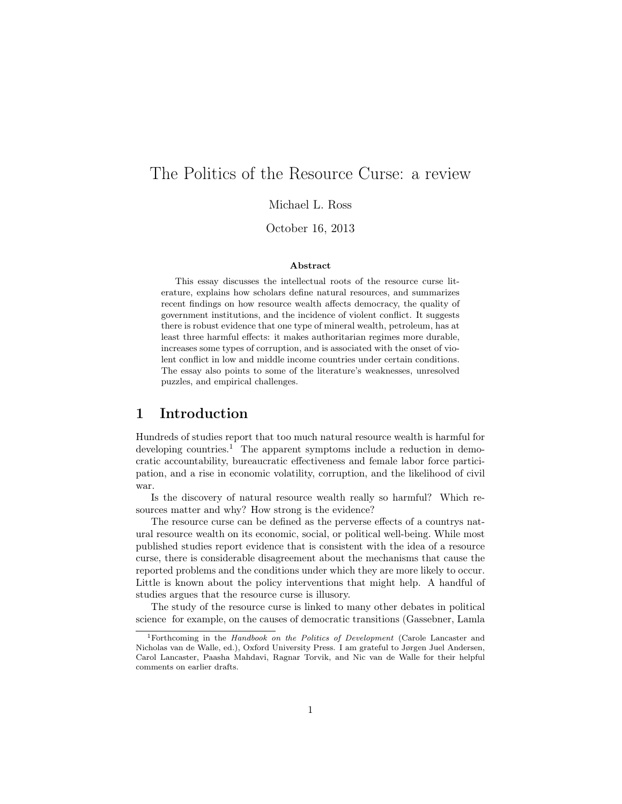# The Politics of the Resource Curse: a review

Michael L. Ross

October 16, 2013

#### Abstract

This essay discusses the intellectual roots of the resource curse literature, explains how scholars define natural resources, and summarizes recent findings on how resource wealth affects democracy, the quality of government institutions, and the incidence of violent conflict. It suggests there is robust evidence that one type of mineral wealth, petroleum, has at least three harmful effects: it makes authoritarian regimes more durable, increases some types of corruption, and is associated with the onset of violent conflict in low and middle income countries under certain conditions. The essay also points to some of the literature's weaknesses, unresolved puzzles, and empirical challenges.

# 1 Introduction

Hundreds of studies report that too much natural resource wealth is harmful for developing countries.<sup>1</sup> The apparent symptoms include a reduction in democratic accountability, bureaucratic effectiveness and female labor force participation, and a rise in economic volatility, corruption, and the likelihood of civil war.

Is the discovery of natural resource wealth really so harmful? Which resources matter and why? How strong is the evidence?

The resource curse can be defined as the perverse effects of a countrys natural resource wealth on its economic, social, or political well-being. While most published studies report evidence that is consistent with the idea of a resource curse, there is considerable disagreement about the mechanisms that cause the reported problems and the conditions under which they are more likely to occur. Little is known about the policy interventions that might help. A handful of studies argues that the resource curse is illusory.

The study of the resource curse is linked to many other debates in political science for example, on the causes of democratic transitions (Gassebner, Lamla

<sup>1</sup>Forthcoming in the *Handbook on the Politics of Development* (Carole Lancaster and Nicholas van de Walle, ed.), Oxford University Press. I am grateful to Jørgen Juel Andersen, Carol Lancaster, Paasha Mahdavi, Ragnar Torvik, and Nic van de Walle for their helpful comments on earlier drafts.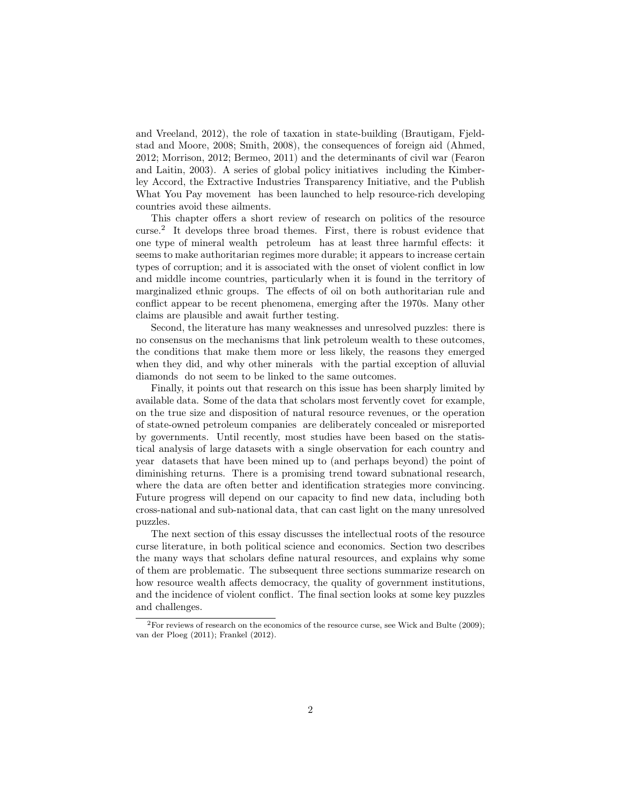and Vreeland, 2012), the role of taxation in state-building (Brautigam, Fjeldstad and Moore, 2008; Smith, 2008), the consequences of foreign aid (Ahmed, 2012; Morrison, 2012; Bermeo, 2011) and the determinants of civil war (Fearon and Laitin, 2003). A series of global policy initiatives including the Kimberley Accord, the Extractive Industries Transparency Initiative, and the Publish What You Pay movement has been launched to help resource-rich developing countries avoid these ailments.

This chapter offers a short review of research on politics of the resource curse.<sup>2</sup> It develops three broad themes. First, there is robust evidence that one type of mineral wealth petroleum has at least three harmful effects: it seems to make authoritarian regimes more durable; it appears to increase certain types of corruption; and it is associated with the onset of violent conflict in low and middle income countries, particularly when it is found in the territory of marginalized ethnic groups. The effects of oil on both authoritarian rule and conflict appear to be recent phenomena, emerging after the 1970s. Many other claims are plausible and await further testing.

Second, the literature has many weaknesses and unresolved puzzles: there is no consensus on the mechanisms that link petroleum wealth to these outcomes, the conditions that make them more or less likely, the reasons they emerged when they did, and why other minerals with the partial exception of alluvial diamonds do not seem to be linked to the same outcomes.

Finally, it points out that research on this issue has been sharply limited by available data. Some of the data that scholars most fervently covet for example, on the true size and disposition of natural resource revenues, or the operation of state-owned petroleum companies are deliberately concealed or misreported by governments. Until recently, most studies have been based on the statistical analysis of large datasets with a single observation for each country and year datasets that have been mined up to (and perhaps beyond) the point of diminishing returns. There is a promising trend toward subnational research, where the data are often better and identification strategies more convincing. Future progress will depend on our capacity to find new data, including both cross-national and sub-national data, that can cast light on the many unresolved puzzles.

The next section of this essay discusses the intellectual roots of the resource curse literature, in both political science and economics. Section two describes the many ways that scholars define natural resources, and explains why some of them are problematic. The subsequent three sections summarize research on how resource wealth affects democracy, the quality of government institutions, and the incidence of violent conflict. The final section looks at some key puzzles and challenges.

<sup>&</sup>lt;sup>2</sup>For reviews of research on the economics of the resource curse, see Wick and Bulte (2009); van der Ploeg (2011); Frankel (2012).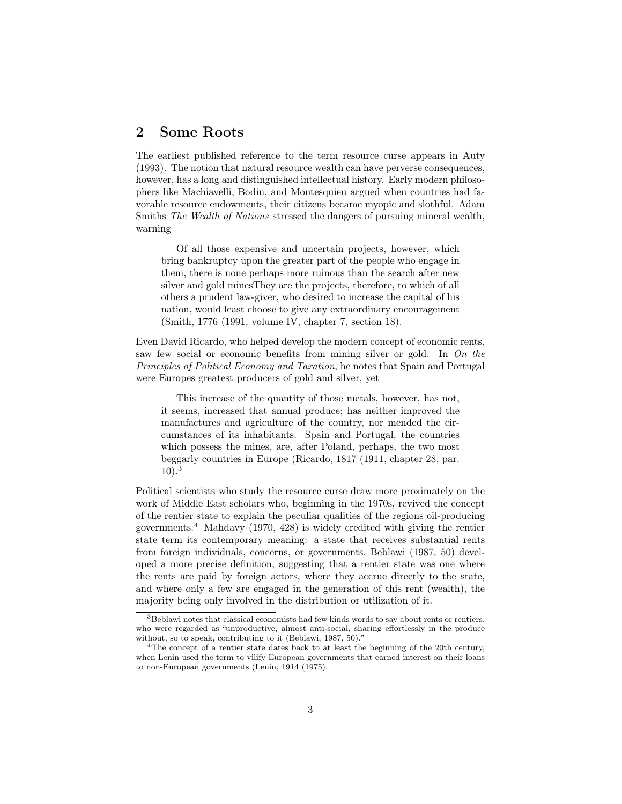#### 2 Some Roots

The earliest published reference to the term resource curse appears in Auty (1993). The notion that natural resource wealth can have perverse consequences, however, has a long and distinguished intellectual history. Early modern philosophers like Machiavelli, Bodin, and Montesquieu argued when countries had favorable resource endowments, their citizens became myopic and slothful. Adam Smiths *The Wealth of Nations* stressed the dangers of pursuing mineral wealth, warning

Of all those expensive and uncertain projects, however, which bring bankruptcy upon the greater part of the people who engage in them, there is none perhaps more ruinous than the search after new silver and gold minesThey are the projects, therefore, to which of all others a prudent law-giver, who desired to increase the capital of his nation, would least choose to give any extraordinary encouragement (Smith, 1776 (1991, volume IV, chapter 7, section 18).

Even David Ricardo, who helped develop the modern concept of economic rents, saw few social or economic benefits from mining silver or gold. In *On the Principles of Political Economy and Taxation*, he notes that Spain and Portugal were Europes greatest producers of gold and silver, yet

This increase of the quantity of those metals, however, has not, it seems, increased that annual produce; has neither improved the manufactures and agriculture of the country, nor mended the circumstances of its inhabitants. Spain and Portugal, the countries which possess the mines, are, after Poland, perhaps, the two most beggarly countries in Europe (Ricardo, 1817 (1911, chapter 28, par.  $(10).<sup>3</sup>$ 

Political scientists who study the resource curse draw more proximately on the work of Middle East scholars who, beginning in the 1970s, revived the concept of the rentier state to explain the peculiar qualities of the regions oil-producing governments.<sup>4</sup> Mahdavy (1970, 428) is widely credited with giving the rentier state term its contemporary meaning: a state that receives substantial rents from foreign individuals, concerns, or governments. Beblawi (1987, 50) developed a more precise definition, suggesting that a rentier state was one where the rents are paid by foreign actors, where they accrue directly to the state, and where only a few are engaged in the generation of this rent (wealth), the majority being only involved in the distribution or utilization of it.

<sup>&</sup>lt;sup>3</sup>Beblawi notes that classical economists had few kinds words to say about rents or rentiers, who were regarded as "unproductive, almost anti-social, sharing effortlessly in the produce without, so to speak, contributing to it (Beblawi, 1987, 50).

<sup>4</sup>The concept of a rentier state dates back to at least the beginning of the 20th century, when Lenin used the term to vilify European governments that earned interest on their loans to non-European governments (Lenin, 1914 (1975).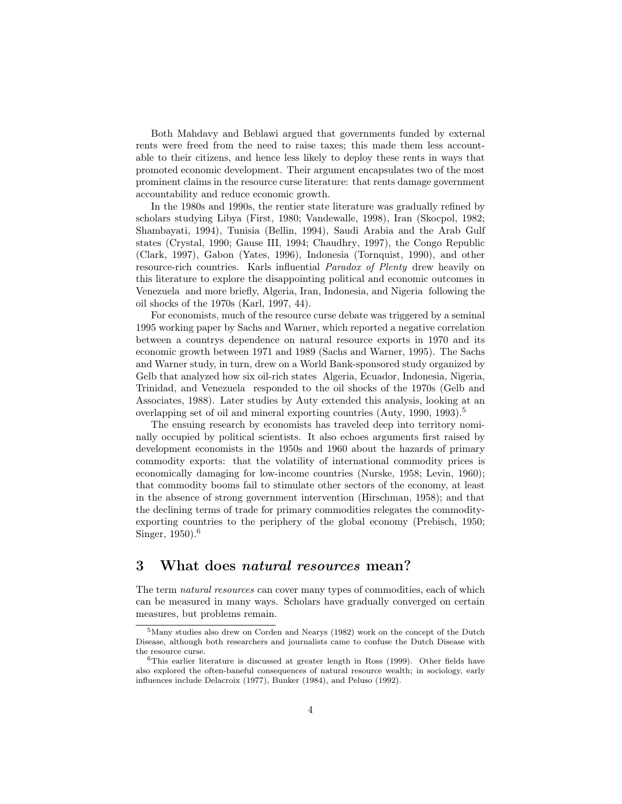Both Mahdavy and Beblawi argued that governments funded by external rents were freed from the need to raise taxes; this made them less accountable to their citizens, and hence less likely to deploy these rents in ways that promoted economic development. Their argument encapsulates two of the most prominent claims in the resource curse literature: that rents damage government accountability and reduce economic growth.

In the 1980s and 1990s, the rentier state literature was gradually refined by scholars studying Libya (First, 1980; Vandewalle, 1998), Iran (Skocpol, 1982; Shambayati, 1994), Tunisia (Bellin, 1994), Saudi Arabia and the Arab Gulf states (Crystal, 1990; Gause III, 1994; Chaudhry, 1997), the Congo Republic (Clark, 1997), Gabon (Yates, 1996), Indonesia (Tornquist, 1990), and other resource-rich countries. Karls influential *Paradox of Plenty* drew heavily on this literature to explore the disappointing political and economic outcomes in Venezuela and more briefly, Algeria, Iran, Indonesia, and Nigeria following the oil shocks of the 1970s (Karl, 1997, 44).

For economists, much of the resource curse debate was triggered by a seminal 1995 working paper by Sachs and Warner, which reported a negative correlation between a countrys dependence on natural resource exports in 1970 and its economic growth between 1971 and 1989 (Sachs and Warner, 1995). The Sachs and Warner study, in turn, drew on a World Bank-sponsored study organized by Gelb that analyzed how six oil-rich states Algeria, Ecuador, Indonesia, Nigeria, Trinidad, and Venezuela responded to the oil shocks of the 1970s (Gelb and Associates, 1988). Later studies by Auty extended this analysis, looking at an overlapping set of oil and mineral exporting countries (Auty, 1990, 1993).<sup>5</sup>

The ensuing research by economists has traveled deep into territory nominally occupied by political scientists. It also echoes arguments first raised by development economists in the 1950s and 1960 about the hazards of primary commodity exports: that the volatility of international commodity prices is economically damaging for low-income countries (Nurske, 1958; Levin, 1960); that commodity booms fail to stimulate other sectors of the economy, at least in the absence of strong government intervention (Hirschman, 1958); and that the declining terms of trade for primary commodities relegates the commodityexporting countries to the periphery of the global economy (Prebisch, 1950; Singer, 1950).<sup>6</sup>

# 3 What does *natural resources* mean?

The term *natural resources* can cover many types of commodities, each of which can be measured in many ways. Scholars have gradually converged on certain measures, but problems remain.

<sup>5</sup>Many studies also drew on Corden and Nearys (1982) work on the concept of the Dutch Disease, although both researchers and journalists came to confuse the Dutch Disease with the resource curse.

<sup>6</sup>This earlier literature is discussed at greater length in Ross (1999). Other fields have also explored the often-baneful consequences of natural resource wealth; in sociology, early influences include Delacroix (1977), Bunker (1984), and Peluso (1992).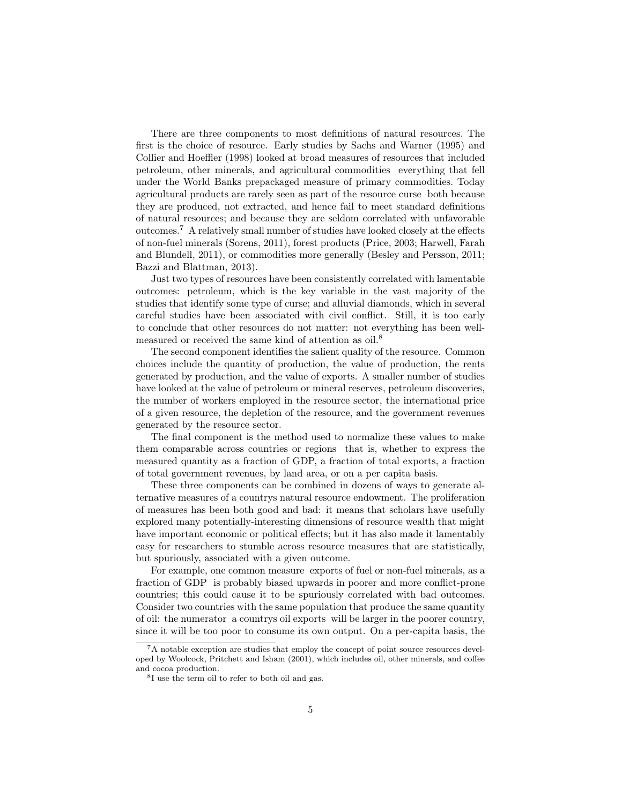There are three components to most definitions of natural resources. The first is the choice of resource. Early studies by Sachs and Warner (1995) and Collier and Hoeffler (1998) looked at broad measures of resources that included petroleum, other minerals, and agricultural commodities everything that fell under the World Banks prepackaged measure of primary commodities. Today agricultural products are rarely seen as part of the resource curse both because they are produced, not extracted, and hence fail to meet standard definitions of natural resources; and because they are seldom correlated with unfavorable outcomes.<sup>7</sup> A relatively small number of studies have looked closely at the effects of non-fuel minerals (Sorens, 2011), forest products (Price, 2003; Harwell, Farah and Blundell, 2011), or commodities more generally (Besley and Persson, 2011; Bazzi and Blattman, 2013).

Just two types of resources have been consistently correlated with lamentable outcomes: petroleum, which is the key variable in the vast majority of the studies that identify some type of curse; and alluvial diamonds, which in several careful studies have been associated with civil conflict. Still, it is too early to conclude that other resources do not matter: not everything has been wellmeasured or received the same kind of attention as oil.<sup>8</sup>

The second component identifies the salient quality of the resource. Common choices include the quantity of production, the value of production, the rents generated by production, and the value of exports. A smaller number of studies have looked at the value of petroleum or mineral reserves, petroleum discoveries, the number of workers employed in the resource sector, the international price of a given resource, the depletion of the resource, and the government revenues generated by the resource sector.

The final component is the method used to normalize these values to make them comparable across countries or regions that is, whether to express the measured quantity as a fraction of GDP, a fraction of total exports, a fraction of total government revenues, by land area, or on a per capita basis.

These three components can be combined in dozens of ways to generate alternative measures of a countrys natural resource endowment. The proliferation of measures has been both good and bad: it means that scholars have usefully explored many potentially-interesting dimensions of resource wealth that might have important economic or political effects; but it has also made it lamentably easy for researchers to stumble across resource measures that are statistically, but spuriously, associated with a given outcome.

For example, one common measure exports of fuel or non-fuel minerals, as a fraction of GDP is probably biased upwards in poorer and more conflict-prone countries; this could cause it to be spuriously correlated with bad outcomes. Consider two countries with the same population that produce the same quantity of oil: the numerator a countrys oil exports will be larger in the poorer country, since it will be too poor to consume its own output. On a per-capita basis, the

<sup>7</sup>A notable exception are studies that employ the concept of point source resources developed by Woolcock, Pritchett and Isham (2001), which includes oil, other minerals, and coffee and cocoa production.

<sup>8</sup> I use the term oil to refer to both oil and gas.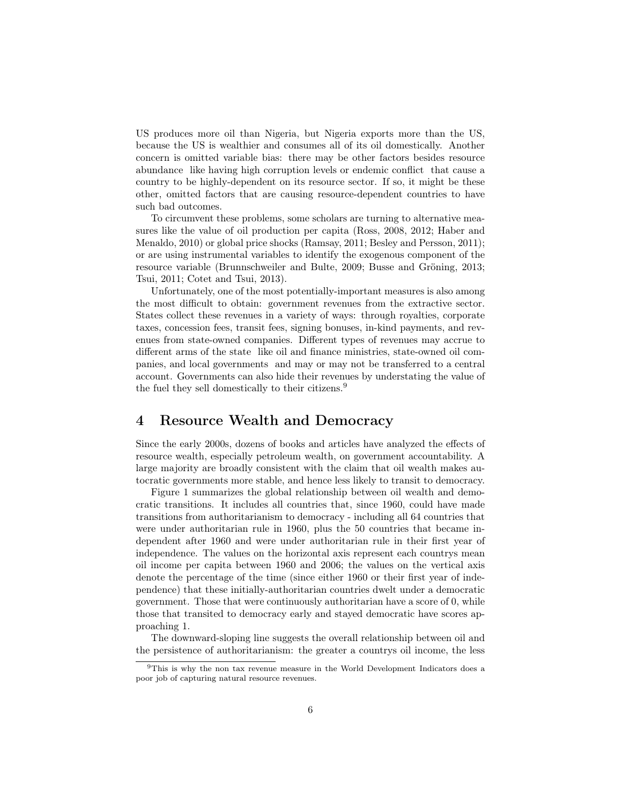US produces more oil than Nigeria, but Nigeria exports more than the US, because the US is wealthier and consumes all of its oil domestically. Another concern is omitted variable bias: there may be other factors besides resource abundance like having high corruption levels or endemic conflict that cause a country to be highly-dependent on its resource sector. If so, it might be these other, omitted factors that are causing resource-dependent countries to have such bad outcomes.

To circumvent these problems, some scholars are turning to alternative measures like the value of oil production per capita (Ross, 2008, 2012; Haber and Menaldo, 2010) or global price shocks (Ramsay, 2011; Besley and Persson, 2011); or are using instrumental variables to identify the exogenous component of the resource variable (Brunnschweiler and Bulte, 2009; Busse and Gröning, 2013; Tsui, 2011; Cotet and Tsui, 2013).

Unfortunately, one of the most potentially-important measures is also among the most difficult to obtain: government revenues from the extractive sector. States collect these revenues in a variety of ways: through royalties, corporate taxes, concession fees, transit fees, signing bonuses, in-kind payments, and revenues from state-owned companies. Different types of revenues may accrue to different arms of the state like oil and finance ministries, state-owned oil companies, and local governments and may or may not be transferred to a central account. Governments can also hide their revenues by understating the value of the fuel they sell domestically to their citizens.<sup>9</sup>

### 4 Resource Wealth and Democracy

Since the early 2000s, dozens of books and articles have analyzed the effects of resource wealth, especially petroleum wealth, on government accountability. A large majority are broadly consistent with the claim that oil wealth makes autocratic governments more stable, and hence less likely to transit to democracy.

Figure 1 summarizes the global relationship between oil wealth and democratic transitions. It includes all countries that, since 1960, could have made transitions from authoritarianism to democracy - including all 64 countries that were under authoritarian rule in 1960, plus the 50 countries that became independent after 1960 and were under authoritarian rule in their first year of independence. The values on the horizontal axis represent each countrys mean oil income per capita between 1960 and 2006; the values on the vertical axis denote the percentage of the time (since either 1960 or their first year of independence) that these initially-authoritarian countries dwelt under a democratic government. Those that were continuously authoritarian have a score of 0, while those that transited to democracy early and stayed democratic have scores approaching 1.

The downward-sloping line suggests the overall relationship between oil and the persistence of authoritarianism: the greater a countrys oil income, the less

 $9$ This is why the non tax revenue measure in the World Development Indicators does a poor job of capturing natural resource revenues.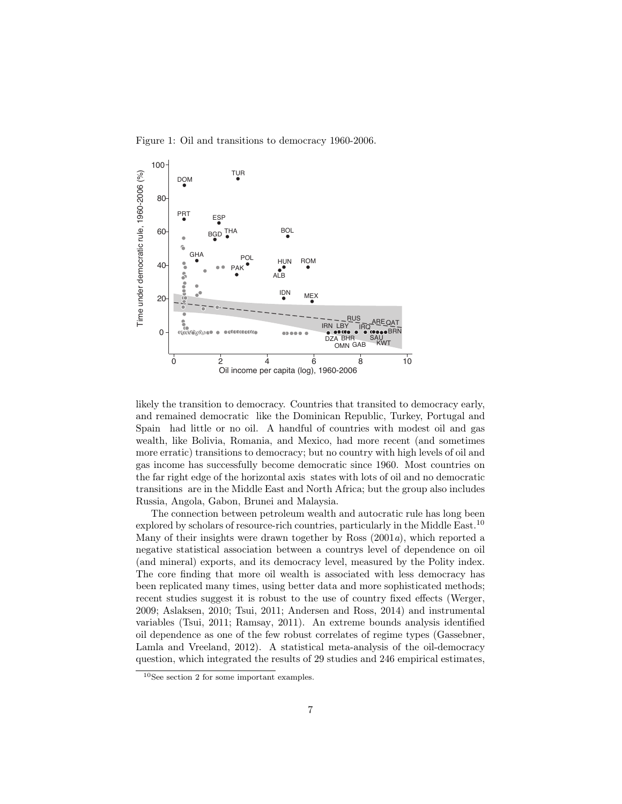Figure 1: Oil and transitions to democracy 1960-2006.



likely the transition to democracy. Countries that transited to democracy early, and remained democratic like the Dominican Republic, Turkey, Portugal and Spain had little or no oil. A handful of countries with modest oil and gas wealth, like Bolivia, Romania, and Mexico, had more recent (and sometimes more erratic) transitions to democracy; but no country with high levels of oil and gas income has successfully become democratic since 1960. Most countries on the far right edge of the horizontal axis states with lots of oil and no democratic transitions are in the Middle East and North Africa; but the group also includes Russia, Angola, Gabon, Brunei and Malaysia.

The connection between petroleum wealth and autocratic rule has long been explored by scholars of resource-rich countries, particularly in the Middle East.<sup>10</sup> Many of their insights were drawn together by Ross (2001*a*), which reported a negative statistical association between a countrys level of dependence on oil (and mineral) exports, and its democracy level, measured by the Polity index. The core finding that more oil wealth is associated with less democracy has been replicated many times, using better data and more sophisticated methods; recent studies suggest it is robust to the use of country fixed effects (Werger, 2009; Aslaksen, 2010; Tsui, 2011; Andersen and Ross, 2014) and instrumental variables (Tsui, 2011; Ramsay, 2011). An extreme bounds analysis identified oil dependence as one of the few robust correlates of regime types (Gassebner, Lamla and Vreeland, 2012). A statistical meta-analysis of the oil-democracy question, which integrated the results of 29 studies and 246 empirical estimates,

<sup>10</sup>See section 2 for some important examples.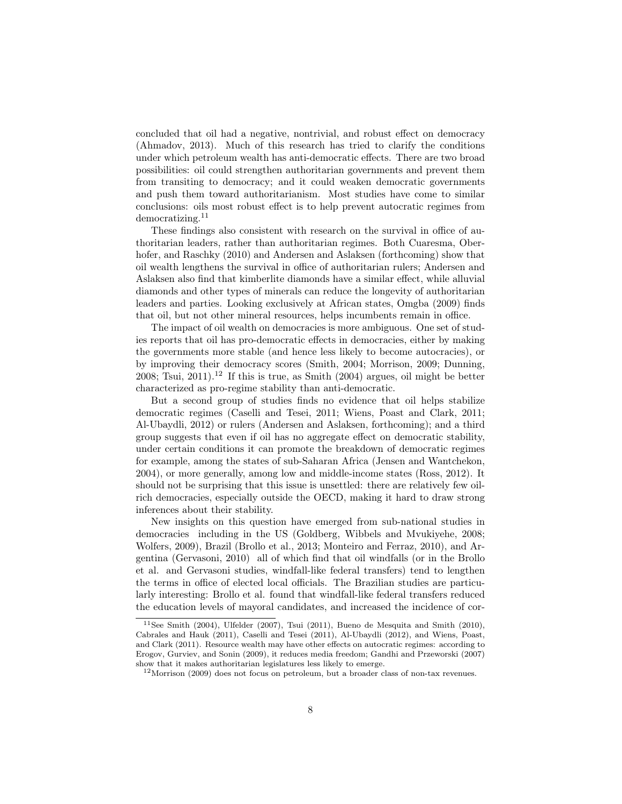concluded that oil had a negative, nontrivial, and robust effect on democracy (Ahmadov, 2013). Much of this research has tried to clarify the conditions under which petroleum wealth has anti-democratic effects. There are two broad possibilities: oil could strengthen authoritarian governments and prevent them from transiting to democracy; and it could weaken democratic governments and push them toward authoritarianism. Most studies have come to similar conclusions: oils most robust effect is to help prevent autocratic regimes from democratizing.<sup>11</sup>

These findings also consistent with research on the survival in office of authoritarian leaders, rather than authoritarian regimes. Both Cuaresma, Oberhofer, and Raschky (2010) and Andersen and Aslaksen (forthcoming) show that oil wealth lengthens the survival in office of authoritarian rulers; Andersen and Aslaksen also find that kimberlite diamonds have a similar effect, while alluvial diamonds and other types of minerals can reduce the longevity of authoritarian leaders and parties. Looking exclusively at African states, Omgba (2009) finds that oil, but not other mineral resources, helps incumbents remain in office.

The impact of oil wealth on democracies is more ambiguous. One set of studies reports that oil has pro-democratic effects in democracies, either by making the governments more stable (and hence less likely to become autocracies), or by improving their democracy scores (Smith, 2004; Morrison, 2009; Dunning, 2008; Tsui, 2011).<sup>12</sup> If this is true, as Smith (2004) argues, oil might be better characterized as pro-regime stability than anti-democratic.

But a second group of studies finds no evidence that oil helps stabilize democratic regimes (Caselli and Tesei, 2011; Wiens, Poast and Clark, 2011; Al-Ubaydli, 2012) or rulers (Andersen and Aslaksen, forthcoming); and a third group suggests that even if oil has no aggregate effect on democratic stability, under certain conditions it can promote the breakdown of democratic regimes for example, among the states of sub-Saharan Africa (Jensen and Wantchekon, 2004), or more generally, among low and middle-income states (Ross, 2012). It should not be surprising that this issue is unsettled: there are relatively few oilrich democracies, especially outside the OECD, making it hard to draw strong inferences about their stability.

New insights on this question have emerged from sub-national studies in democracies including in the US (Goldberg, Wibbels and Mvukiyehe, 2008; Wolfers, 2009), Brazil (Brollo et al., 2013; Monteiro and Ferraz, 2010), and Argentina (Gervasoni, 2010) all of which find that oil windfalls (or in the Brollo et al. and Gervasoni studies, windfall-like federal transfers) tend to lengthen the terms in office of elected local officials. The Brazilian studies are particularly interesting: Brollo et al. found that windfall-like federal transfers reduced the education levels of mayoral candidates, and increased the incidence of cor-

<sup>&</sup>lt;sup>11</sup>See Smith (2004), Ulfelder (2007), Tsui (2011), Bueno de Mesquita and Smith (2010), Cabrales and Hauk (2011), Caselli and Tesei (2011), Al-Ubaydli (2012), and Wiens, Poast, and Clark (2011). Resource wealth may have other effects on autocratic regimes: according to Erogov, Gurviev, and Sonin (2009), it reduces media freedom; Gandhi and Przeworski (2007) show that it makes authoritarian legislatures less likely to emerge.

<sup>12</sup>Morrison (2009) does not focus on petroleum, but a broader class of non-tax revenues.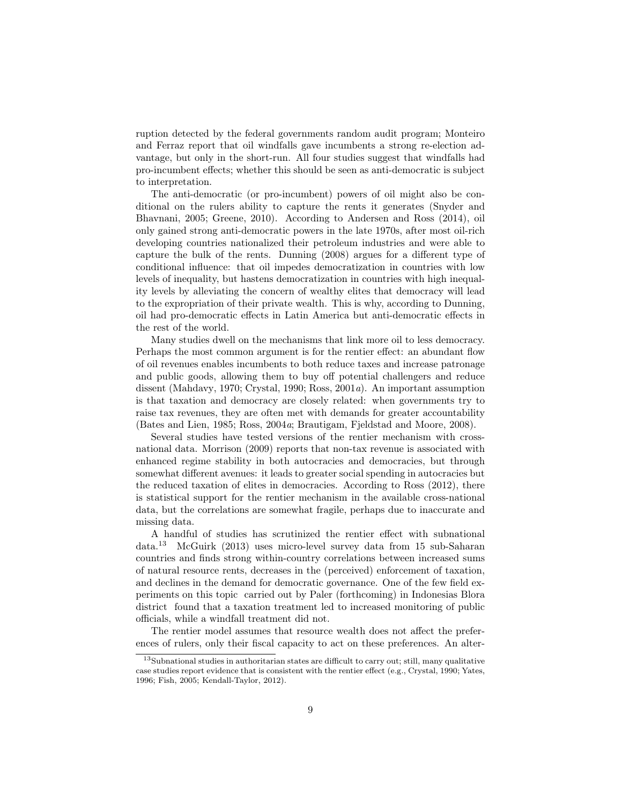ruption detected by the federal governments random audit program; Monteiro and Ferraz report that oil windfalls gave incumbents a strong re-election advantage, but only in the short-run. All four studies suggest that windfalls had pro-incumbent effects; whether this should be seen as anti-democratic is subject to interpretation.

The anti-democratic (or pro-incumbent) powers of oil might also be conditional on the rulers ability to capture the rents it generates (Snyder and Bhavnani, 2005; Greene, 2010). According to Andersen and Ross (2014), oil only gained strong anti-democratic powers in the late 1970s, after most oil-rich developing countries nationalized their petroleum industries and were able to capture the bulk of the rents. Dunning (2008) argues for a different type of conditional influence: that oil impedes democratization in countries with low levels of inequality, but hastens democratization in countries with high inequality levels by alleviating the concern of wealthy elites that democracy will lead to the expropriation of their private wealth. This is why, according to Dunning, oil had pro-democratic effects in Latin America but anti-democratic effects in the rest of the world.

Many studies dwell on the mechanisms that link more oil to less democracy. Perhaps the most common argument is for the rentier effect: an abundant flow of oil revenues enables incumbents to both reduce taxes and increase patronage and public goods, allowing them to buy off potential challengers and reduce dissent (Mahdavy, 1970; Crystal, 1990; Ross, 2001*a*). An important assumption is that taxation and democracy are closely related: when governments try to raise tax revenues, they are often met with demands for greater accountability (Bates and Lien, 1985; Ross, 2004*a*; Brautigam, Fjeldstad and Moore, 2008).

Several studies have tested versions of the rentier mechanism with crossnational data. Morrison (2009) reports that non-tax revenue is associated with enhanced regime stability in both autocracies and democracies, but through somewhat different avenues: it leads to greater social spending in autocracies but the reduced taxation of elites in democracies. According to Ross (2012), there is statistical support for the rentier mechanism in the available cross-national data, but the correlations are somewhat fragile, perhaps due to inaccurate and missing data.

A handful of studies has scrutinized the rentier effect with subnational data.<sup>13</sup> McGuirk (2013) uses micro-level survey data from 15 sub-Saharan countries and finds strong within-country correlations between increased sums of natural resource rents, decreases in the (perceived) enforcement of taxation, and declines in the demand for democratic governance. One of the few field experiments on this topic carried out by Paler (forthcoming) in Indonesias Blora district found that a taxation treatment led to increased monitoring of public officials, while a windfall treatment did not.

The rentier model assumes that resource wealth does not affect the preferences of rulers, only their fiscal capacity to act on these preferences. An alter-

<sup>&</sup>lt;sup>13</sup>Subnational studies in authoritarian states are difficult to carry out; still, many qualitative case studies report evidence that is consistent with the rentier effect (e.g., Crystal, 1990; Yates, 1996; Fish, 2005; Kendall-Taylor, 2012).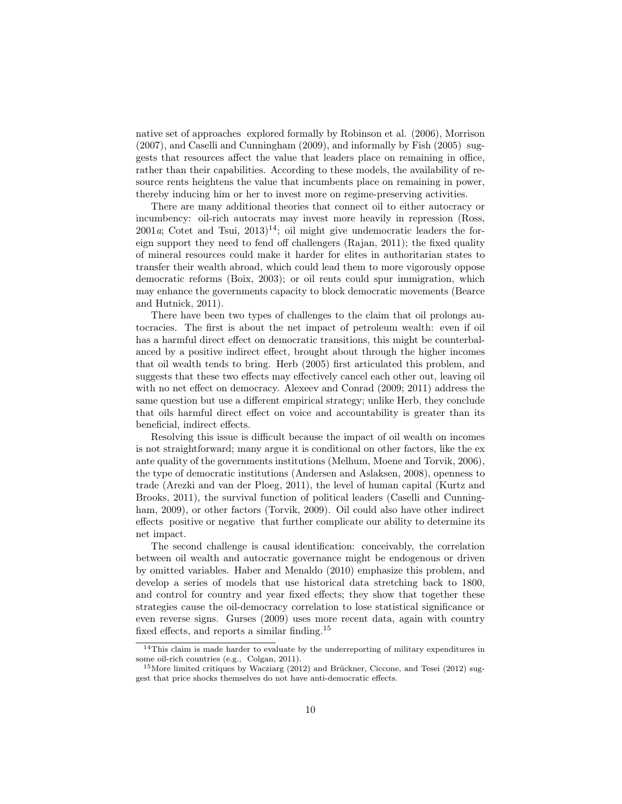native set of approaches explored formally by Robinson et al. (2006), Morrison (2007), and Caselli and Cunningham (2009), and informally by Fish (2005) suggests that resources affect the value that leaders place on remaining in office, rather than their capabilities. According to these models, the availability of resource rents heightens the value that incumbents place on remaining in power, thereby inducing him or her to invest more on regime-preserving activities.

There are many additional theories that connect oil to either autocracy or incumbency: oil-rich autocrats may invest more heavily in repression (Ross,  $2001a$ ; Cotet and Tsui,  $2013$ <sup>14</sup>; oil might give undemocratic leaders the foreign support they need to fend off challengers (Rajan, 2011); the fixed quality of mineral resources could make it harder for elites in authoritarian states to transfer their wealth abroad, which could lead them to more vigorously oppose democratic reforms (Boix, 2003); or oil rents could spur immigration, which may enhance the governments capacity to block democratic movements (Bearce and Hutnick, 2011).

There have been two types of challenges to the claim that oil prolongs autocracies. The first is about the net impact of petroleum wealth: even if oil has a harmful direct effect on democratic transitions, this might be counterbalanced by a positive indirect effect, brought about through the higher incomes that oil wealth tends to bring. Herb (2005) first articulated this problem, and suggests that these two effects may effectively cancel each other out, leaving oil with no net effect on democracy. Alexeev and Conrad (2009; 2011) address the same question but use a different empirical strategy; unlike Herb, they conclude that oils harmful direct effect on voice and accountability is greater than its beneficial, indirect effects.

Resolving this issue is difficult because the impact of oil wealth on incomes is not straightforward; many argue it is conditional on other factors, like the ex ante quality of the governments institutions (Melhum, Moene and Torvik, 2006), the type of democratic institutions (Andersen and Aslaksen, 2008), openness to trade (Arezki and van der Ploeg, 2011), the level of human capital (Kurtz and Brooks, 2011), the survival function of political leaders (Caselli and Cunningham, 2009), or other factors (Torvik, 2009). Oil could also have other indirect effects positive or negative that further complicate our ability to determine its net impact.

The second challenge is causal identification: conceivably, the correlation between oil wealth and autocratic governance might be endogenous or driven by omitted variables. Haber and Menaldo (2010) emphasize this problem, and develop a series of models that use historical data stretching back to 1800, and control for country and year fixed effects; they show that together these strategies cause the oil-democracy correlation to lose statistical significance or even reverse signs. Gurses (2009) uses more recent data, again with country fixed effects, and reports a similar finding.<sup>15</sup>

<sup>14</sup>This claim is made harder to evaluate by the underreporting of military expenditures in some oil-rich countries (e.g., Colgan, 2011).

<sup>&</sup>lt;sup>15</sup>More limited critiques by Wacziarg (2012) and Brückner, Ciccone, and Tesei (2012) suggest that price shocks themselves do not have anti-democratic effects.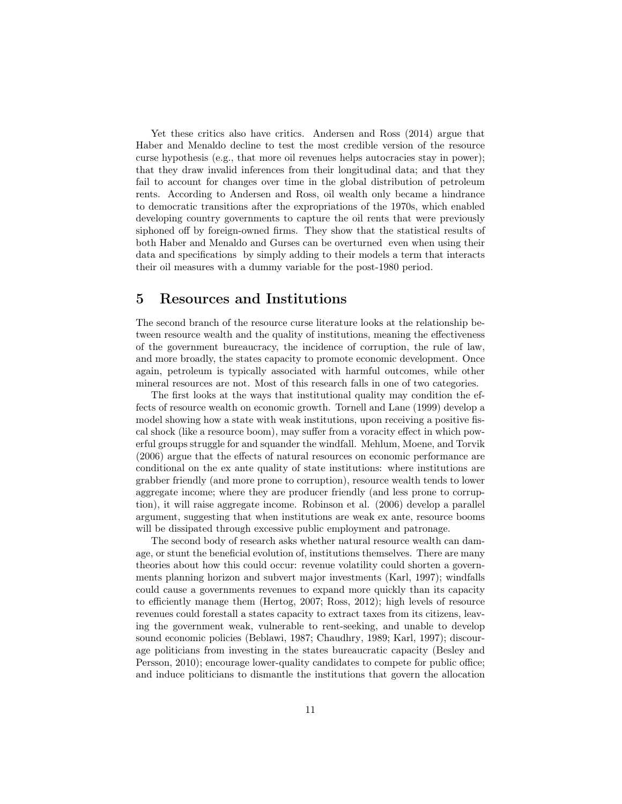Yet these critics also have critics. Andersen and Ross (2014) argue that Haber and Menaldo decline to test the most credible version of the resource curse hypothesis (e.g., that more oil revenues helps autocracies stay in power); that they draw invalid inferences from their longitudinal data; and that they fail to account for changes over time in the global distribution of petroleum rents. According to Andersen and Ross, oil wealth only became a hindrance to democratic transitions after the expropriations of the 1970s, which enabled developing country governments to capture the oil rents that were previously siphoned off by foreign-owned firms. They show that the statistical results of both Haber and Menaldo and Gurses can be overturned even when using their data and specifications by simply adding to their models a term that interacts their oil measures with a dummy variable for the post-1980 period.

## 5 Resources and Institutions

The second branch of the resource curse literature looks at the relationship between resource wealth and the quality of institutions, meaning the effectiveness of the government bureaucracy, the incidence of corruption, the rule of law, and more broadly, the states capacity to promote economic development. Once again, petroleum is typically associated with harmful outcomes, while other mineral resources are not. Most of this research falls in one of two categories.

The first looks at the ways that institutional quality may condition the effects of resource wealth on economic growth. Tornell and Lane (1999) develop a model showing how a state with weak institutions, upon receiving a positive fiscal shock (like a resource boom), may suffer from a voracity effect in which powerful groups struggle for and squander the windfall. Mehlum, Moene, and Torvik (2006) argue that the effects of natural resources on economic performance are conditional on the ex ante quality of state institutions: where institutions are grabber friendly (and more prone to corruption), resource wealth tends to lower aggregate income; where they are producer friendly (and less prone to corruption), it will raise aggregate income. Robinson et al. (2006) develop a parallel argument, suggesting that when institutions are weak ex ante, resource booms will be dissipated through excessive public employment and patronage.

The second body of research asks whether natural resource wealth can damage, or stunt the beneficial evolution of, institutions themselves. There are many theories about how this could occur: revenue volatility could shorten a governments planning horizon and subvert major investments (Karl, 1997); windfalls could cause a governments revenues to expand more quickly than its capacity to efficiently manage them (Hertog, 2007; Ross, 2012); high levels of resource revenues could forestall a states capacity to extract taxes from its citizens, leaving the government weak, vulnerable to rent-seeking, and unable to develop sound economic policies (Beblawi, 1987; Chaudhry, 1989; Karl, 1997); discourage politicians from investing in the states bureaucratic capacity (Besley and Persson, 2010); encourage lower-quality candidates to compete for public office; and induce politicians to dismantle the institutions that govern the allocation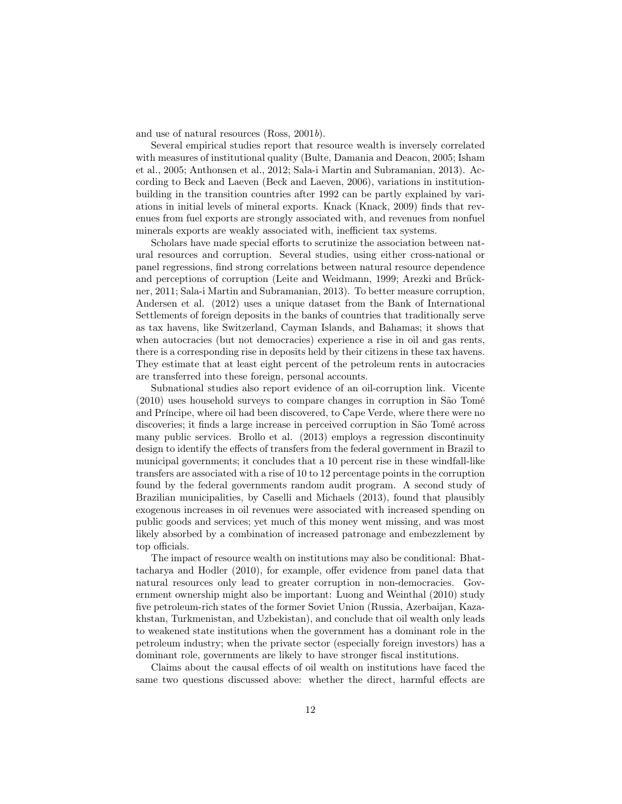and use of natural resources (Ross, 2001*b*).

Several empirical studies report that resource wealth is inversely correlated with measures of institutional quality (Bulte, Damania and Deacon, 2005; Isham et al., 2005; Anthonsen et al., 2012; Sala-i Martin and Subramanian, 2013). According to Beck and Laeven (Beck and Laeven, 2006), variations in institutionbuilding in the transition countries after 1992 can be partly explained by variations in initial levels of mineral exports. Knack (Knack, 2009) finds that revenues from fuel exports are strongly associated with, and revenues from nonfuel minerals exports are weakly associated with, inefficient tax systems.

Scholars have made special efforts to scrutinize the association between natural resources and corruption. Several studies, using either cross-national or panel regressions, find strong correlations between natural resource dependence and perceptions of corruption (Leite and Weidmann, 1999; Arezki and Brückner, 2011; Sala-i Martin and Subramanian, 2013). To better measure corruption, Andersen et al. (2012) uses a unique dataset from the Bank of International Settlements of foreign deposits in the banks of countries that traditionally serve as tax havens, like Switzerland, Cayman Islands, and Bahamas; it shows that when autocracies (but not democracies) experience a rise in oil and gas rents, there is a corresponding rise in deposits held by their citizens in these tax havens. They estimate that at least eight percent of the petroleum rents in autocracies are transferred into these foreign, personal accounts.

Subnational studies also report evidence of an oil-corruption link. Vicente (2010) uses household surveys to compare changes in corruption in São Tomé and Príncipe, where oil had been discovered, to Cape Verde, where there were no discoveries; it finds a large increase in perceived corruption in São Tomé across many public services. Brollo et al. (2013) employs a regression discontinuity design to identify the effects of transfers from the federal government in Brazil to municipal governments; it concludes that a 10 percent rise in these windfall-like transfers are associated with a rise of 10 to 12 percentage points in the corruption found by the federal governments random audit program. A second study of Brazilian municipalities, by Caselli and Michaels (2013), found that plausibly exogenous increases in oil revenues were associated with increased spending on public goods and services; yet much of this money went missing, and was most likely absorbed by a combination of increased patronage and embezzlement by top officials.

The impact of resource wealth on institutions may also be conditional: Bhattacharya and Hodler (2010), for example, offer evidence from panel data that natural resources only lead to greater corruption in non-democracies. Government ownership might also be important: Luong and Weinthal (2010) study five petroleum-rich states of the former Soviet Union (Russia, Azerbaijan, Kazakhstan, Turkmenistan, and Uzbekistan), and conclude that oil wealth only leads to weakened state institutions when the government has a dominant role in the petroleum industry; when the private sector (especially foreign investors) has a dominant role, governments are likely to have stronger fiscal institutions.

Claims about the causal effects of oil wealth on institutions have faced the same two questions discussed above: whether the direct, harmful effects are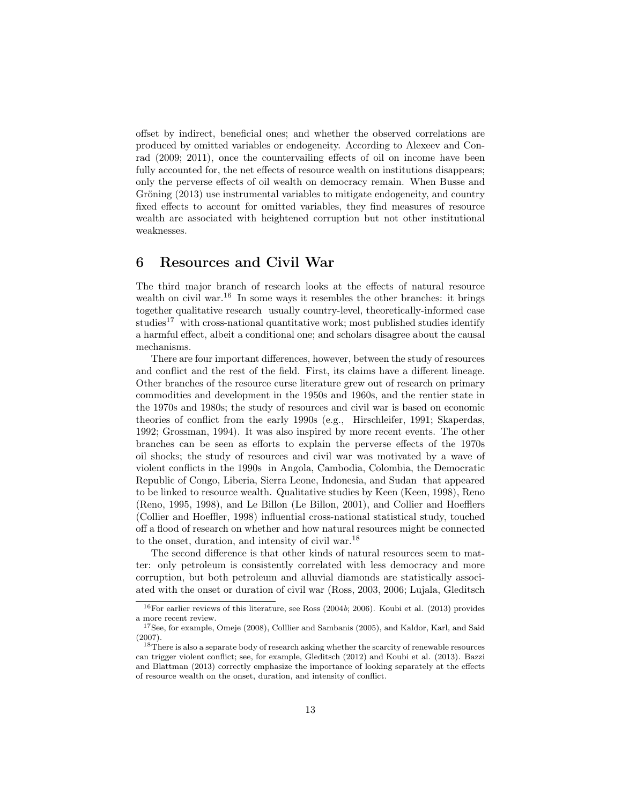offset by indirect, beneficial ones; and whether the observed correlations are produced by omitted variables or endogeneity. According to Alexeev and Conrad (2009; 2011), once the countervailing effects of oil on income have been fully accounted for, the net effects of resource wealth on institutions disappears; only the perverse effects of oil wealth on democracy remain. When Busse and Gröning (2013) use instrumental variables to mitigate endogeneity, and country fixed effects to account for omitted variables, they find measures of resource wealth are associated with heightened corruption but not other institutional weaknesses.

# 6 Resources and Civil War

The third major branch of research looks at the effects of natural resource wealth on civil war.<sup>16</sup> In some ways it resembles the other branches: it brings together qualitative research usually country-level, theoretically-informed case studies<sup>17</sup> with cross-national quantitative work; most published studies identify a harmful effect, albeit a conditional one; and scholars disagree about the causal mechanisms.

There are four important differences, however, between the study of resources and conflict and the rest of the field. First, its claims have a different lineage. Other branches of the resource curse literature grew out of research on primary commodities and development in the 1950s and 1960s, and the rentier state in the 1970s and 1980s; the study of resources and civil war is based on economic theories of conflict from the early 1990s (e.g., Hirschleifer, 1991; Skaperdas, 1992; Grossman, 1994). It was also inspired by more recent events. The other branches can be seen as efforts to explain the perverse effects of the 1970s oil shocks; the study of resources and civil war was motivated by a wave of violent conflicts in the 1990s in Angola, Cambodia, Colombia, the Democratic Republic of Congo, Liberia, Sierra Leone, Indonesia, and Sudan that appeared to be linked to resource wealth. Qualitative studies by Keen (Keen, 1998), Reno (Reno, 1995, 1998), and Le Billon (Le Billon, 2001), and Collier and Hoefflers (Collier and Hoeffler, 1998) influential cross-national statistical study, touched off a flood of research on whether and how natural resources might be connected to the onset, duration, and intensity of civil war.<sup>18</sup>

The second difference is that other kinds of natural resources seem to matter: only petroleum is consistently correlated with less democracy and more corruption, but both petroleum and alluvial diamonds are statistically associated with the onset or duration of civil war (Ross, 2003, 2006; Lujala, Gleditsch

<sup>16</sup>For earlier reviews of this literature, see Ross (2004*b*; 2006). Koubi et al. (2013) provides a more recent review.

<sup>17</sup>See, for example, Omeje (2008), Colllier and Sambanis (2005), and Kaldor, Karl, and Said (2007).

<sup>&</sup>lt;sup>18</sup>There is also a separate body of research asking whether the scarcity of renewable resources can trigger violent conflict; see, for example, Gleditsch (2012) and Koubi et al. (2013). Bazzi and Blattman (2013) correctly emphasize the importance of looking separately at the effects of resource wealth on the onset, duration, and intensity of conflict.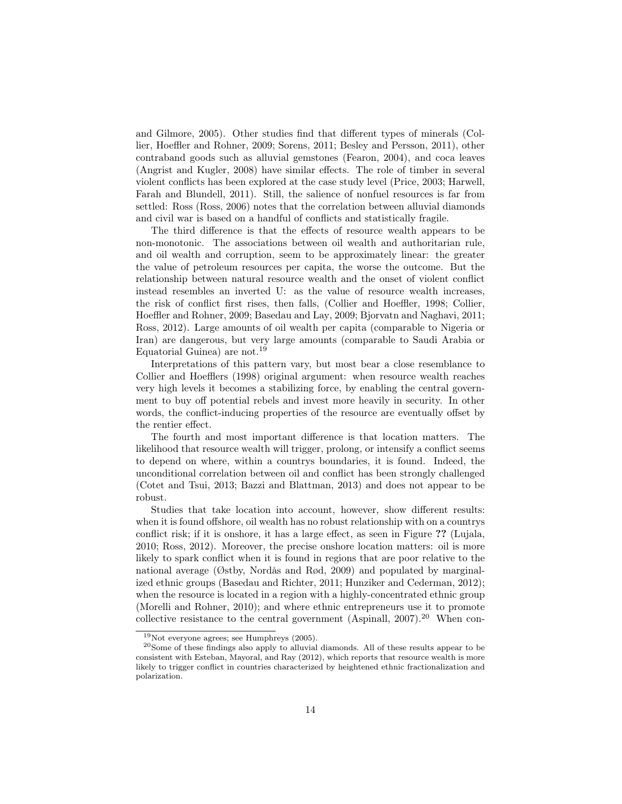and Gilmore, 2005). Other studies find that different types of minerals (Collier, Hoeffler and Rohner, 2009; Sorens, 2011; Besley and Persson, 2011), other contraband goods such as alluvial gemstones (Fearon, 2004), and coca leaves (Angrist and Kugler, 2008) have similar effects. The role of timber in several violent conflicts has been explored at the case study level (Price, 2003; Harwell, Farah and Blundell, 2011). Still, the salience of nonfuel resources is far from settled: Ross (Ross, 2006) notes that the correlation between alluvial diamonds and civil war is based on a handful of conflicts and statistically fragile.

The third difference is that the effects of resource wealth appears to be non-monotonic. The associations between oil wealth and authoritarian rule, and oil wealth and corruption, seem to be approximately linear: the greater the value of petroleum resources per capita, the worse the outcome. But the relationship between natural resource wealth and the onset of violent conflict instead resembles an inverted U: as the value of resource wealth increases, the risk of conflict first rises, then falls, (Collier and Hoeffler, 1998; Collier, Hoeffler and Rohner, 2009; Basedau and Lay, 2009; Bjorvatn and Naghavi, 2011; Ross, 2012). Large amounts of oil wealth per capita (comparable to Nigeria or Iran) are dangerous, but very large amounts (comparable to Saudi Arabia or Equatorial Guinea) are not.<sup>19</sup>

Interpretations of this pattern vary, but most bear a close resemblance to Collier and Hoefflers (1998) original argument: when resource wealth reaches very high levels it becomes a stabilizing force, by enabling the central government to buy off potential rebels and invest more heavily in security. In other words, the conflict-inducing properties of the resource are eventually offset by the rentier effect.

The fourth and most important difference is that location matters. The likelihood that resource wealth will trigger, prolong, or intensify a conflict seems to depend on where, within a countrys boundaries, it is found. Indeed, the unconditional correlation between oil and conflict has been strongly challenged (Cotet and Tsui, 2013; Bazzi and Blattman, 2013) and does not appear to be robust.

Studies that take location into account, however, show different results: when it is found offshore, oil wealth has no robust relationship with on a countrys conflict risk; if it is onshore, it has a large effect, as seen in Figure ?? (Lujala, 2010; Ross, 2012). Moreover, the precise onshore location matters: oil is more likely to spark conflict when it is found in regions that are poor relative to the national average (Østby, Nordås and Rød, 2009) and populated by marginalized ethnic groups (Basedau and Richter, 2011; Hunziker and Cederman, 2012); when the resource is located in a region with a highly-concentrated ethnic group (Morelli and Rohner, 2010); and where ethnic entrepreneurs use it to promote collective resistance to the central government (Aspinall,  $2007$ ).<sup>20</sup> When con-

<sup>19</sup>Not everyone agrees; see Humphreys (2005).

<sup>20</sup>Some of these findings also apply to alluvial diamonds. All of these results appear to be consistent with Esteban, Mayoral, and Ray (2012), which reports that resource wealth is more likely to trigger conflict in countries characterized by heightened ethnic fractionalization and polarization.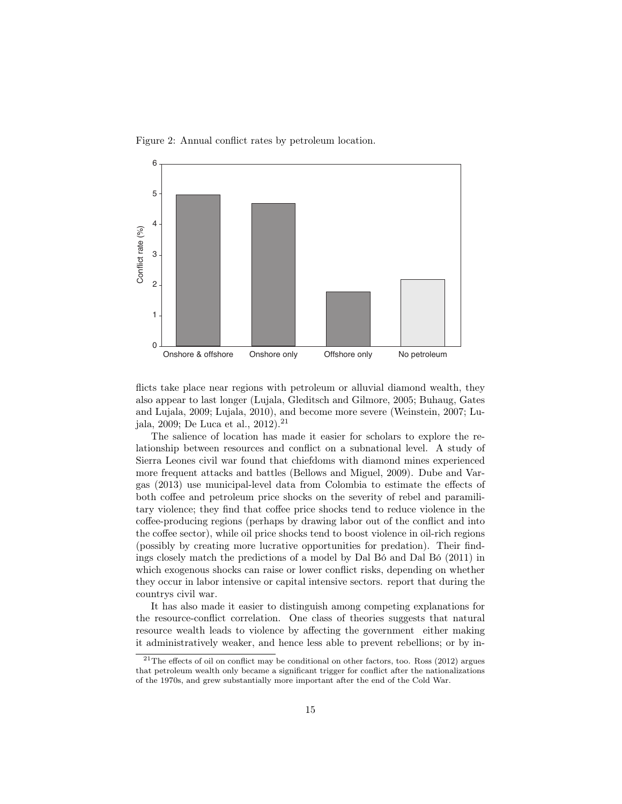Figure 2: Annual conflict rates by petroleum location.



flicts take place near regions with petroleum or alluvial diamond wealth, they also appear to last longer (Lujala, Gleditsch and Gilmore, 2005; Buhaug, Gates and Lujala, 2009; Lujala, 2010), and become more severe (Weinstein, 2007; Lujala, 2009; De Luca et al., 2012).<sup>21</sup>

The salience of location has made it easier for scholars to explore the relationship between resources and conflict on a subnational level. A study of Sierra Leones civil war found that chiefdoms with diamond mines experienced more frequent attacks and battles (Bellows and Miguel, 2009). Dube and Vargas (2013) use municipal-level data from Colombia to estimate the effects of both coffee and petroleum price shocks on the severity of rebel and paramilitary violence; they find that coffee price shocks tend to reduce violence in the coffee-producing regions (perhaps by drawing labor out of the conflict and into the coffee sector), while oil price shocks tend to boost violence in oil-rich regions (possibly by creating more lucrative opportunities for predation). Their findings closely match the predictions of a model by Dal Bó and Dal Bó (2011) in which exogenous shocks can raise or lower conflict risks, depending on whether they occur in labor intensive or capital intensive sectors. report that during the countrys civil war.

It has also made it easier to distinguish among competing explanations for the resource-conflict correlation. One class of theories suggests that natural resource wealth leads to violence by affecting the government either making it administratively weaker, and hence less able to prevent rebellions; or by in-

 $21$ The effects of oil on conflict may be conditional on other factors, too. Ross (2012) argues that petroleum wealth only became a significant trigger for conflict after the nationalizations of the 1970s, and grew substantially more important after the end of the Cold War.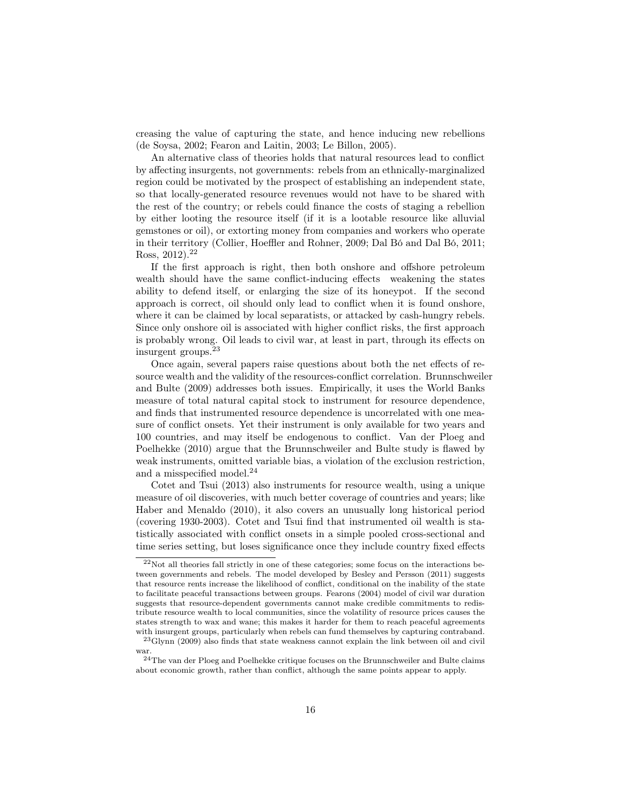creasing the value of capturing the state, and hence inducing new rebellions (de Soysa, 2002; Fearon and Laitin, 2003; Le Billon, 2005).

An alternative class of theories holds that natural resources lead to conflict by affecting insurgents, not governments: rebels from an ethnically-marginalized region could be motivated by the prospect of establishing an independent state, so that locally-generated resource revenues would not have to be shared with the rest of the country; or rebels could finance the costs of staging a rebellion by either looting the resource itself (if it is a lootable resource like alluvial gemstones or oil), or extorting money from companies and workers who operate in their territory (Collier, Hoeffler and Rohner, 2009; Dal Bó and Dal Bó, 2011; Ross,  $2012$ .<sup>22</sup>

If the first approach is right, then both onshore and offshore petroleum wealth should have the same conflict-inducing effects weakening the states ability to defend itself, or enlarging the size of its honeypot. If the second approach is correct, oil should only lead to conflict when it is found onshore, where it can be claimed by local separatists, or attacked by cash-hungry rebels. Since only onshore oil is associated with higher conflict risks, the first approach is probably wrong. Oil leads to civil war, at least in part, through its effects on insurgent groups.<sup>23</sup>

Once again, several papers raise questions about both the net effects of resource wealth and the validity of the resources-conflict correlation. Brunnschweiler and Bulte (2009) addresses both issues. Empirically, it uses the World Banks measure of total natural capital stock to instrument for resource dependence, and finds that instrumented resource dependence is uncorrelated with one measure of conflict onsets. Yet their instrument is only available for two years and 100 countries, and may itself be endogenous to conflict. Van der Ploeg and Poelhekke (2010) argue that the Brunnschweiler and Bulte study is flawed by weak instruments, omitted variable bias, a violation of the exclusion restriction, and a misspecified model. $^{24}$ 

Cotet and Tsui (2013) also instruments for resource wealth, using a unique measure of oil discoveries, with much better coverage of countries and years; like Haber and Menaldo (2010), it also covers an unusually long historical period (covering 1930-2003). Cotet and Tsui find that instrumented oil wealth is statistically associated with conflict onsets in a simple pooled cross-sectional and time series setting, but loses significance once they include country fixed effects

<sup>22</sup>Not all theories fall strictly in one of these categories; some focus on the interactions between governments and rebels. The model developed by Besley and Persson (2011) suggests that resource rents increase the likelihood of conflict, conditional on the inability of the state to facilitate peaceful transactions between groups. Fearons (2004) model of civil war duration suggests that resource-dependent governments cannot make credible commitments to redistribute resource wealth to local communities, since the volatility of resource prices causes the states strength to wax and wane; this makes it harder for them to reach peaceful agreements with insurgent groups, particularly when rebels can fund themselves by capturing contraband.

<sup>23</sup>Glynn (2009) also finds that state weakness cannot explain the link between oil and civil war

 $24$ The van der Ploeg and Poelhekke critique focuses on the Brunnschweiler and Bulte claims about economic growth, rather than conflict, although the same points appear to apply.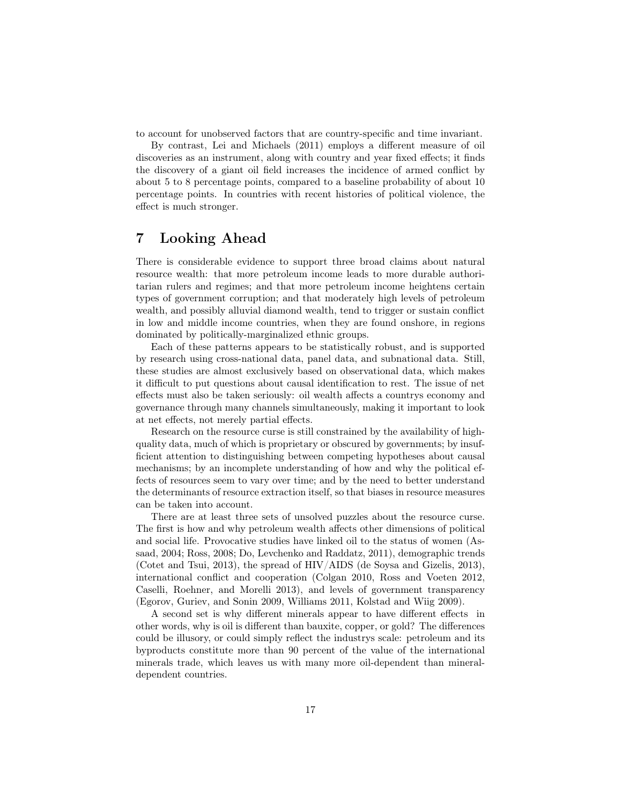to account for unobserved factors that are country-specific and time invariant.

By contrast, Lei and Michaels (2011) employs a different measure of oil discoveries as an instrument, along with country and year fixed effects; it finds the discovery of a giant oil field increases the incidence of armed conflict by about 5 to 8 percentage points, compared to a baseline probability of about 10 percentage points. In countries with recent histories of political violence, the effect is much stronger.

### 7 Looking Ahead

There is considerable evidence to support three broad claims about natural resource wealth: that more petroleum income leads to more durable authoritarian rulers and regimes; and that more petroleum income heightens certain types of government corruption; and that moderately high levels of petroleum wealth, and possibly alluvial diamond wealth, tend to trigger or sustain conflict in low and middle income countries, when they are found onshore, in regions dominated by politically-marginalized ethnic groups.

Each of these patterns appears to be statistically robust, and is supported by research using cross-national data, panel data, and subnational data. Still, these studies are almost exclusively based on observational data, which makes it difficult to put questions about causal identification to rest. The issue of net effects must also be taken seriously: oil wealth affects a countrys economy and governance through many channels simultaneously, making it important to look at net effects, not merely partial effects.

Research on the resource curse is still constrained by the availability of highquality data, much of which is proprietary or obscured by governments; by insufficient attention to distinguishing between competing hypotheses about causal mechanisms; by an incomplete understanding of how and why the political effects of resources seem to vary over time; and by the need to better understand the determinants of resource extraction itself, so that biases in resource measures can be taken into account.

There are at least three sets of unsolved puzzles about the resource curse. The first is how and why petroleum wealth affects other dimensions of political and social life. Provocative studies have linked oil to the status of women (Assaad, 2004; Ross, 2008; Do, Levchenko and Raddatz, 2011), demographic trends (Cotet and Tsui, 2013), the spread of HIV/AIDS (de Soysa and Gizelis, 2013), international conflict and cooperation (Colgan 2010, Ross and Voeten 2012, Caselli, Roehner, and Morelli 2013), and levels of government transparency (Egorov, Guriev, and Sonin 2009, Williams 2011, Kolstad and Wiig 2009).

A second set is why different minerals appear to have different effects in other words, why is oil is different than bauxite, copper, or gold? The differences could be illusory, or could simply reflect the industrys scale: petroleum and its byproducts constitute more than 90 percent of the value of the international minerals trade, which leaves us with many more oil-dependent than mineraldependent countries.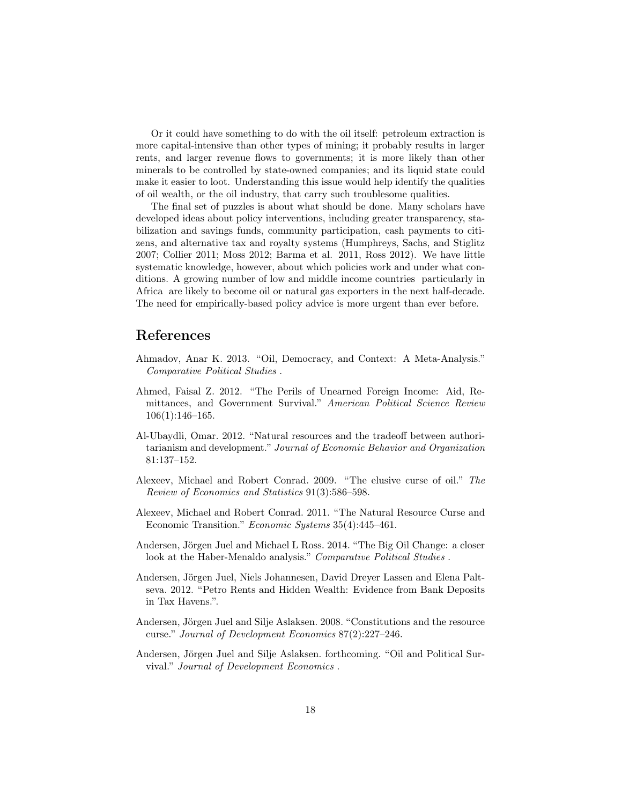Or it could have something to do with the oil itself: petroleum extraction is more capital-intensive than other types of mining; it probably results in larger rents, and larger revenue flows to governments; it is more likely than other minerals to be controlled by state-owned companies; and its liquid state could make it easier to loot. Understanding this issue would help identify the qualities of oil wealth, or the oil industry, that carry such troublesome qualities.

The final set of puzzles is about what should be done. Many scholars have developed ideas about policy interventions, including greater transparency, stabilization and savings funds, community participation, cash payments to citizens, and alternative tax and royalty systems (Humphreys, Sachs, and Stiglitz 2007; Collier 2011; Moss 2012; Barma et al. 2011, Ross 2012). We have little systematic knowledge, however, about which policies work and under what conditions. A growing number of low and middle income countries particularly in Africa are likely to become oil or natural gas exporters in the next half-decade. The need for empirically-based policy advice is more urgent than ever before.

#### References

- Ahmadov, Anar K. 2013. "Oil, Democracy, and Context: A Meta-Analysis." *Comparative Political Studies* .
- Ahmed, Faisal Z. 2012. "The Perils of Unearned Foreign Income: Aid, Remittances, and Government Survival." *American Political Science Review* 106(1):146–165.
- Al-Ubaydli, Omar. 2012. "Natural resources and the tradeoff between authoritarianism and development." *Journal of Economic Behavior and Organization* 81:137–152.
- Alexeev, Michael and Robert Conrad. 2009. "The elusive curse of oil." *The Review of Economics and Statistics* 91(3):586–598.
- Alexeev, Michael and Robert Conrad. 2011. "The Natural Resource Curse and Economic Transition." *Economic Systems* 35(4):445–461.
- Andersen, Jörgen Juel and Michael L Ross. 2014. "The Big Oil Change: a closer look at the Haber-Menaldo analysis." *Comparative Political Studies* .
- Andersen, Jörgen Juel, Niels Johannesen, David Dreyer Lassen and Elena Paltseva. 2012. "Petro Rents and Hidden Wealth: Evidence from Bank Deposits in Tax Havens.".
- Andersen, Jörgen Juel and Silje Aslaksen. 2008. "Constitutions and the resource curse." *Journal of Development Economics* 87(2):227–246.
- Andersen, Jörgen Juel and Silje Aslaksen. forthcoming. "Oil and Political Survival." *Journal of Development Economics* .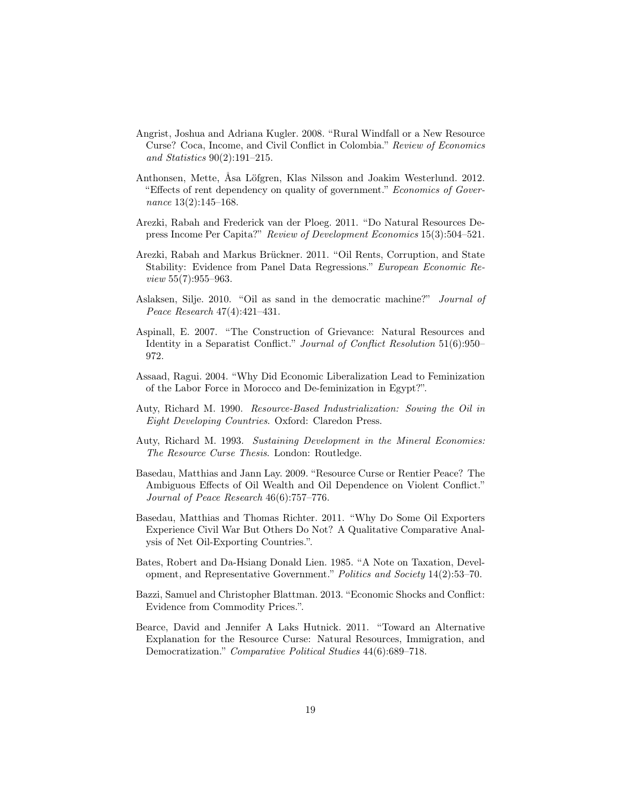- Angrist, Joshua and Adriana Kugler. 2008. "Rural Windfall or a New Resource Curse? Coca, Income, and Civil Conflict in Colombia." *Review of Economics and Statistics* 90(2):191–215.
- Anthonsen, Mette, Åsa Löfgren, Klas Nilsson and Joakim Westerlund. 2012. "Effects of rent dependency on quality of government." *Economics of Governance* 13(2):145–168.
- Arezki, Rabah and Frederick van der Ploeg. 2011. "Do Natural Resources Depress Income Per Capita?" *Review of Development Economics* 15(3):504–521.
- Arezki, Rabah and Markus Brückner. 2011. "Oil Rents, Corruption, and State Stability: Evidence from Panel Data Regressions." *European Economic Review* 55(7):955–963.
- Aslaksen, Silje. 2010. "Oil as sand in the democratic machine?" *Journal of Peace Research* 47(4):421–431.
- Aspinall, E. 2007. "The Construction of Grievance: Natural Resources and Identity in a Separatist Conflict." *Journal of Conflict Resolution* 51(6):950– 972.
- Assaad, Ragui. 2004. "Why Did Economic Liberalization Lead to Feminization of the Labor Force in Morocco and De-feminization in Egypt?".
- Auty, Richard M. 1990. *Resource-Based Industrialization: Sowing the Oil in Eight Developing Countries*. Oxford: Claredon Press.
- Auty, Richard M. 1993. *Sustaining Development in the Mineral Economies: The Resource Curse Thesis*. London: Routledge.
- Basedau, Matthias and Jann Lay. 2009. "Resource Curse or Rentier Peace? The Ambiguous Effects of Oil Wealth and Oil Dependence on Violent Conflict." *Journal of Peace Research* 46(6):757–776.
- Basedau, Matthias and Thomas Richter. 2011. "Why Do Some Oil Exporters Experience Civil War But Others Do Not? A Qualitative Comparative Analysis of Net Oil-Exporting Countries.".
- Bates, Robert and Da-Hsiang Donald Lien. 1985. "A Note on Taxation, Development, and Representative Government." *Politics and Society* 14(2):53–70.
- Bazzi, Samuel and Christopher Blattman. 2013. "Economic Shocks and Conflict: Evidence from Commodity Prices.".
- Bearce, David and Jennifer A Laks Hutnick. 2011. "Toward an Alternative Explanation for the Resource Curse: Natural Resources, Immigration, and Democratization." *Comparative Political Studies* 44(6):689–718.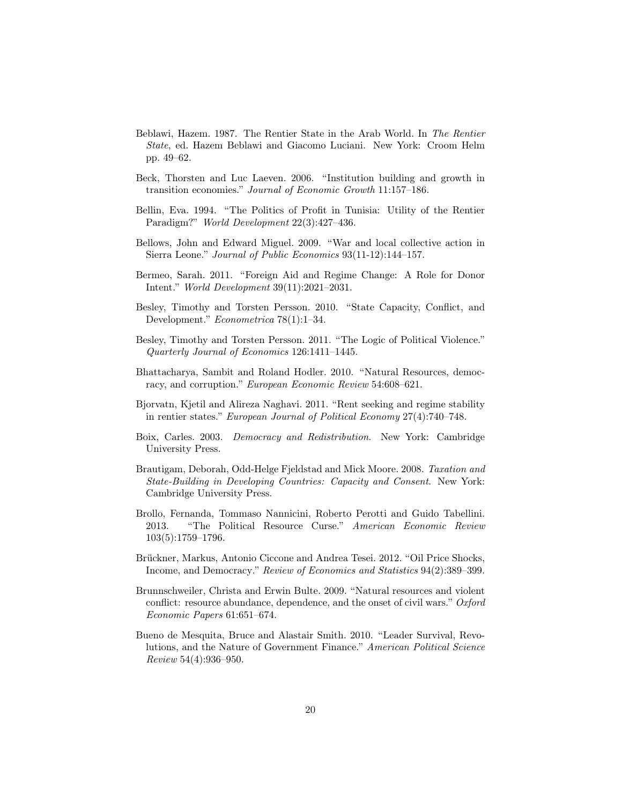- Beblawi, Hazem. 1987. The Rentier State in the Arab World. In *The Rentier State*, ed. Hazem Beblawi and Giacomo Luciani. New York: Croom Helm pp. 49–62.
- Beck, Thorsten and Luc Laeven. 2006. "Institution building and growth in transition economies." *Journal of Economic Growth* 11:157–186.
- Bellin, Eva. 1994. "The Politics of Profit in Tunisia: Utility of the Rentier Paradigm?" *World Development* 22(3):427–436.
- Bellows, John and Edward Miguel. 2009. "War and local collective action in Sierra Leone." *Journal of Public Economics* 93(11-12):144–157.
- Bermeo, Sarah. 2011. "Foreign Aid and Regime Change: A Role for Donor Intent." *World Development* 39(11):2021–2031.
- Besley, Timothy and Torsten Persson. 2010. "State Capacity, Conflict, and Development." *Econometrica* 78(1):1–34.
- Besley, Timothy and Torsten Persson. 2011. "The Logic of Political Violence." *Quarterly Journal of Economics* 126:1411–1445.
- Bhattacharya, Sambit and Roland Hodler. 2010. "Natural Resources, democracy, and corruption." *European Economic Review* 54:608–621.
- Bjorvatn, Kjetil and Alireza Naghavi. 2011. "Rent seeking and regime stability in rentier states." *European Journal of Political Economy* 27(4):740–748.
- Boix, Carles. 2003. *Democracy and Redistribution*. New York: Cambridge University Press.
- Brautigam, Deborah, Odd-Helge Fjeldstad and Mick Moore. 2008. *Taxation and State-Building in Developing Countries: Capacity and Consent*. New York: Cambridge University Press.
- Brollo, Fernanda, Tommaso Nannicini, Roberto Perotti and Guido Tabellini. 2013. "The Political Resource Curse." *American Economic Review* 103(5):1759–1796.
- Brückner, Markus, Antonio Ciccone and Andrea Tesei. 2012. "Oil Price Shocks, Income, and Democracy." *Review of Economics and Statistics* 94(2):389–399.
- Brunnschweiler, Christa and Erwin Bulte. 2009. "Natural resources and violent conflict: resource abundance, dependence, and the onset of civil wars." *Oxford Economic Papers* 61:651–674.
- Bueno de Mesquita, Bruce and Alastair Smith. 2010. "Leader Survival, Revolutions, and the Nature of Government Finance." *American Political Science Review* 54(4):936–950.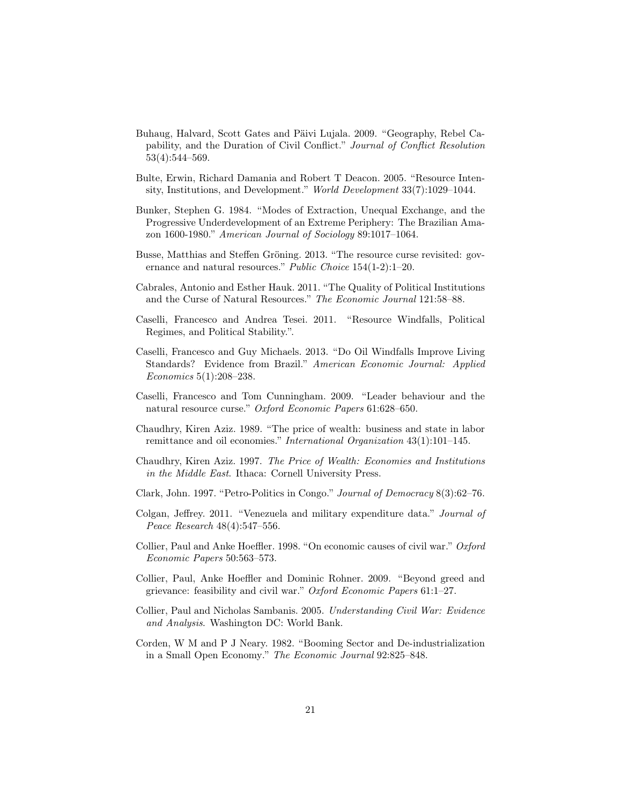- Buhaug, Halvard, Scott Gates and Päivi Lujala. 2009. "Geography, Rebel Capability, and the Duration of Civil Conflict." *Journal of Conflict Resolution* 53(4):544–569.
- Bulte, Erwin, Richard Damania and Robert T Deacon. 2005. "Resource Intensity, Institutions, and Development." *World Development* 33(7):1029–1044.
- Bunker, Stephen G. 1984. "Modes of Extraction, Unequal Exchange, and the Progressive Underdevelopment of an Extreme Periphery: The Brazilian Amazon 1600-1980." *American Journal of Sociology* 89:1017–1064.
- Busse, Matthias and Steffen Gröning. 2013. "The resource curse revisited: governance and natural resources." *Public Choice* 154(1-2):1–20.
- Cabrales, Antonio and Esther Hauk. 2011. "The Quality of Political Institutions and the Curse of Natural Resources." *The Economic Journal* 121:58–88.
- Caselli, Francesco and Andrea Tesei. 2011. "Resource Windfalls, Political Regimes, and Political Stability.".
- Caselli, Francesco and Guy Michaels. 2013. "Do Oil Windfalls Improve Living Standards? Evidence from Brazil." *American Economic Journal: Applied Economics* 5(1):208–238.
- Caselli, Francesco and Tom Cunningham. 2009. "Leader behaviour and the natural resource curse." *Oxford Economic Papers* 61:628–650.
- Chaudhry, Kiren Aziz. 1989. "The price of wealth: business and state in labor remittance and oil economies." *International Organization* 43(1):101–145.
- Chaudhry, Kiren Aziz. 1997. *The Price of Wealth: Economies and Institutions in the Middle East*. Ithaca: Cornell University Press.
- Clark, John. 1997. "Petro-Politics in Congo." *Journal of Democracy* 8(3):62–76.
- Colgan, Jeffrey. 2011. "Venezuela and military expenditure data." *Journal of Peace Research* 48(4):547–556.
- Collier, Paul and Anke Hoeffler. 1998. "On economic causes of civil war." *Oxford Economic Papers* 50:563–573.
- Collier, Paul, Anke Hoeffler and Dominic Rohner. 2009. "Beyond greed and grievance: feasibility and civil war." *Oxford Economic Papers* 61:1–27.
- Collier, Paul and Nicholas Sambanis. 2005. *Understanding Civil War: Evidence and Analysis*. Washington DC: World Bank.
- Corden, W M and P J Neary. 1982. "Booming Sector and De-industrialization in a Small Open Economy." *The Economic Journal* 92:825–848.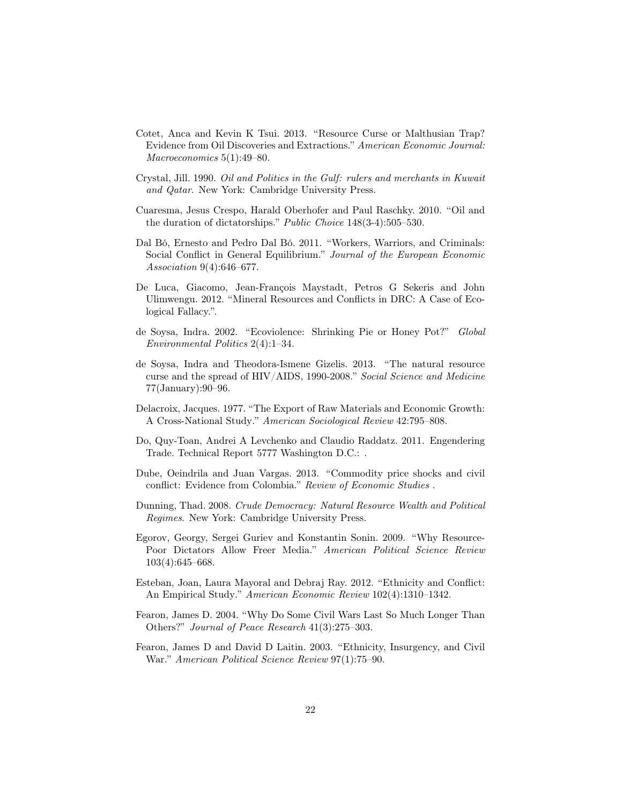- Cotet, Anca and Kevin K Tsui. 2013. "Resource Curse or Malthusian Trap? Evidence from Oil Discoveries and Extractions." *American Economic Journal: Macroeconomics* 5(1):49–80.
- Crystal, Jill. 1990. *Oil and Politics in the Gulf: rulers and merchants in Kuwait and Qatar*. New York: Cambridge University Press.
- Cuaresma, Jesus Crespo, Harald Oberhofer and Paul Raschky. 2010. "Oil and the duration of dictatorships." *Public Choice* 148(3-4):505–530.
- Dal Bó, Ernesto and Pedro Dal Bó. 2011. "Workers, Warriors, and Criminals: Social Conflict in General Equilibrium." *Journal of the European Economic Association* 9(4):646–677.
- De Luca, Giacomo, Jean-François Maystadt, Petros G Sekeris and John Ulimwengu. 2012. "Mineral Resources and Conflicts in DRC: A Case of Ecological Fallacy.".
- de Soysa, Indra. 2002. "Ecoviolence: Shrinking Pie or Honey Pot?" *Global Environmental Politics* 2(4):1–34.
- de Soysa, Indra and Theodora-Ismene Gizelis. 2013. "The natural resource curse and the spread of HIV/AIDS, 1990-2008." *Social Science and Medicine* 77(January):90–96.
- Delacroix, Jacques. 1977. "The Export of Raw Materials and Economic Growth: A Cross-National Study." *American Sociological Review* 42:795–808.
- Do, Quy-Toan, Andrei A Levchenko and Claudio Raddatz. 2011. Engendering Trade. Technical Report 5777 Washington D.C.: .
- Dube, Oeindrila and Juan Vargas. 2013. "Commodity price shocks and civil conflict: Evidence from Colombia." *Review of Economic Studies* .
- Dunning, Thad. 2008. *Crude Democracy: Natural Resource Wealth and Political Regimes*. New York: Cambridge University Press.
- Egorov, Georgy, Sergei Guriev and Konstantin Sonin. 2009. "Why Resource-Poor Dictators Allow Freer Media." *American Political Science Review* 103(4):645–668.
- Esteban, Joan, Laura Mayoral and Debraj Ray. 2012. "Ethnicity and Conflict: An Empirical Study." *American Economic Review* 102(4):1310–1342.
- Fearon, James D. 2004. "Why Do Some Civil Wars Last So Much Longer Than Others?" *Journal of Peace Research* 41(3):275–303.
- Fearon, James D and David D Laitin. 2003. "Ethnicity, Insurgency, and Civil War." *American Political Science Review* 97(1):75–90.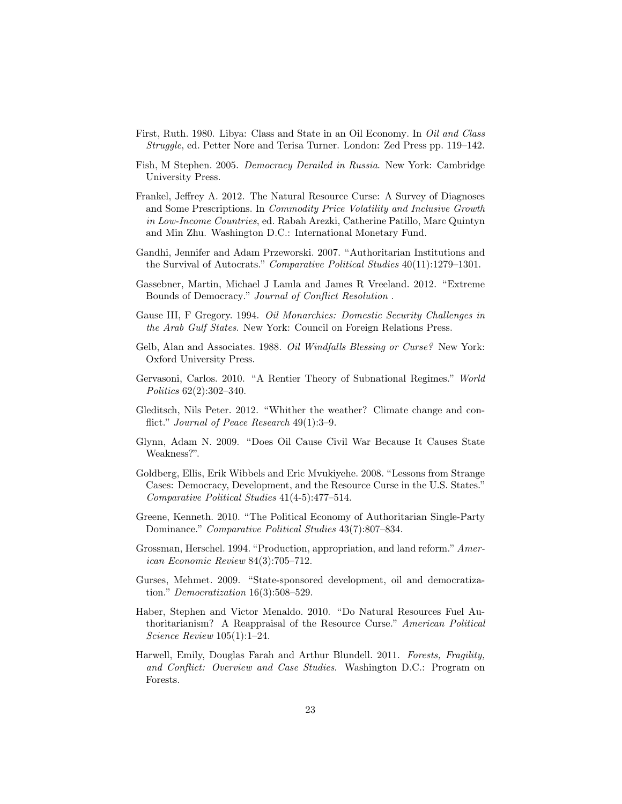- First, Ruth. 1980. Libya: Class and State in an Oil Economy. In *Oil and Class Struggle*, ed. Petter Nore and Terisa Turner. London: Zed Press pp. 119–142.
- Fish, M Stephen. 2005. *Democracy Derailed in Russia*. New York: Cambridge University Press.
- Frankel, Jeffrey A. 2012. The Natural Resource Curse: A Survey of Diagnoses and Some Prescriptions. In *Commodity Price Volatility and Inclusive Growth in Low-Income Countries*, ed. Rabah Arezki, Catherine Patillo, Marc Quintyn and Min Zhu. Washington D.C.: International Monetary Fund.
- Gandhi, Jennifer and Adam Przeworski. 2007. "Authoritarian Institutions and the Survival of Autocrats." *Comparative Political Studies* 40(11):1279–1301.
- Gassebner, Martin, Michael J Lamla and James R Vreeland. 2012. "Extreme Bounds of Democracy." *Journal of Conflict Resolution* .
- Gause III, F Gregory. 1994. *Oil Monarchies: Domestic Security Challenges in the Arab Gulf States*. New York: Council on Foreign Relations Press.
- Gelb, Alan and Associates. 1988. *Oil Windfalls Blessing or Curse?* New York: Oxford University Press.
- Gervasoni, Carlos. 2010. "A Rentier Theory of Subnational Regimes." *World Politics* 62(2):302–340.
- Gleditsch, Nils Peter. 2012. "Whither the weather? Climate change and conflict." *Journal of Peace Research* 49(1):3–9.
- Glynn, Adam N. 2009. "Does Oil Cause Civil War Because It Causes State Weakness?".
- Goldberg, Ellis, Erik Wibbels and Eric Mvukiyehe. 2008. "Lessons from Strange Cases: Democracy, Development, and the Resource Curse in the U.S. States." *Comparative Political Studies* 41(4-5):477–514.
- Greene, Kenneth. 2010. "The Political Economy of Authoritarian Single-Party Dominance." *Comparative Political Studies* 43(7):807–834.
- Grossman, Herschel. 1994. "Production, appropriation, and land reform." *American Economic Review* 84(3):705–712.
- Gurses, Mehmet. 2009. "State-sponsored development, oil and democratization." *Democratization* 16(3):508–529.
- Haber, Stephen and Victor Menaldo. 2010. "Do Natural Resources Fuel Authoritarianism? A Reappraisal of the Resource Curse." *American Political Science Review* 105(1):1–24.
- Harwell, Emily, Douglas Farah and Arthur Blundell. 2011. *Forests, Fragility, and Conflict: Overview and Case Studies*. Washington D.C.: Program on Forests.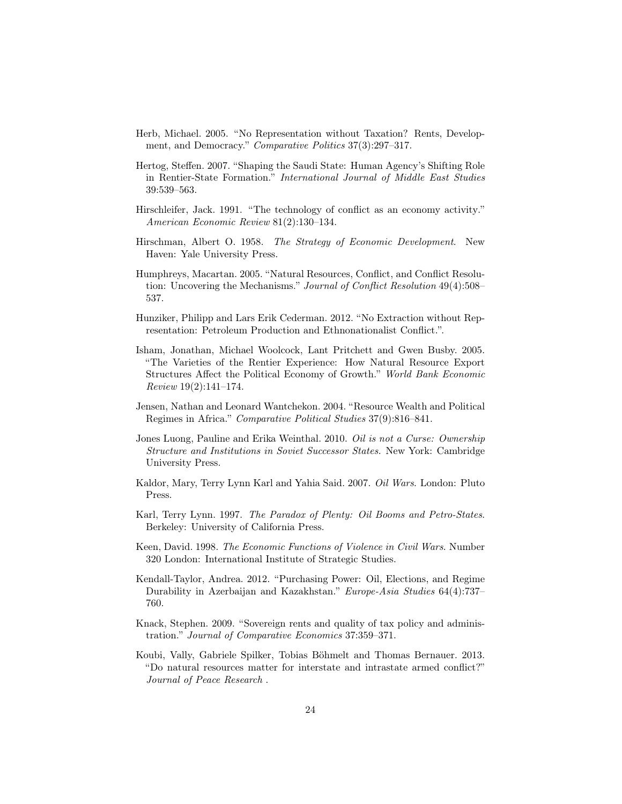- Herb, Michael. 2005. "No Representation without Taxation? Rents, Development, and Democracy." *Comparative Politics* 37(3):297–317.
- Hertog, Steffen. 2007. "Shaping the Saudi State: Human Agency's Shifting Role in Rentier-State Formation." *International Journal of Middle East Studies* 39:539–563.
- Hirschleifer, Jack. 1991. "The technology of conflict as an economy activity." *American Economic Review* 81(2):130–134.
- Hirschman, Albert O. 1958. *The Strategy of Economic Development*. New Haven: Yale University Press.
- Humphreys, Macartan. 2005. "Natural Resources, Conflict, and Conflict Resolution: Uncovering the Mechanisms." *Journal of Conflict Resolution* 49(4):508– 537.
- Hunziker, Philipp and Lars Erik Cederman. 2012. "No Extraction without Representation: Petroleum Production and Ethnonationalist Conflict.".
- Isham, Jonathan, Michael Woolcock, Lant Pritchett and Gwen Busby. 2005. "The Varieties of the Rentier Experience: How Natural Resource Export Structures Affect the Political Economy of Growth." *World Bank Economic Review* 19(2):141–174.
- Jensen, Nathan and Leonard Wantchekon. 2004. "Resource Wealth and Political Regimes in Africa." *Comparative Political Studies* 37(9):816–841.
- Jones Luong, Pauline and Erika Weinthal. 2010. *Oil is not a Curse: Ownership Structure and Institutions in Soviet Successor States.* New York: Cambridge University Press.
- Kaldor, Mary, Terry Lynn Karl and Yahia Said. 2007. *Oil Wars*. London: Pluto Press.
- Karl, Terry Lynn. 1997. *The Paradox of Plenty: Oil Booms and Petro-States*. Berkeley: University of California Press.
- Keen, David. 1998. *The Economic Functions of Violence in Civil Wars*. Number 320 London: International Institute of Strategic Studies.
- Kendall-Taylor, Andrea. 2012. "Purchasing Power: Oil, Elections, and Regime Durability in Azerbaijan and Kazakhstan." *Europe-Asia Studies* 64(4):737– 760.
- Knack, Stephen. 2009. "Sovereign rents and quality of tax policy and administration." *Journal of Comparative Economics* 37:359–371.
- Koubi, Vally, Gabriele Spilker, Tobias Böhmelt and Thomas Bernauer. 2013. "Do natural resources matter for interstate and intrastate armed conflict?" *Journal of Peace Research* .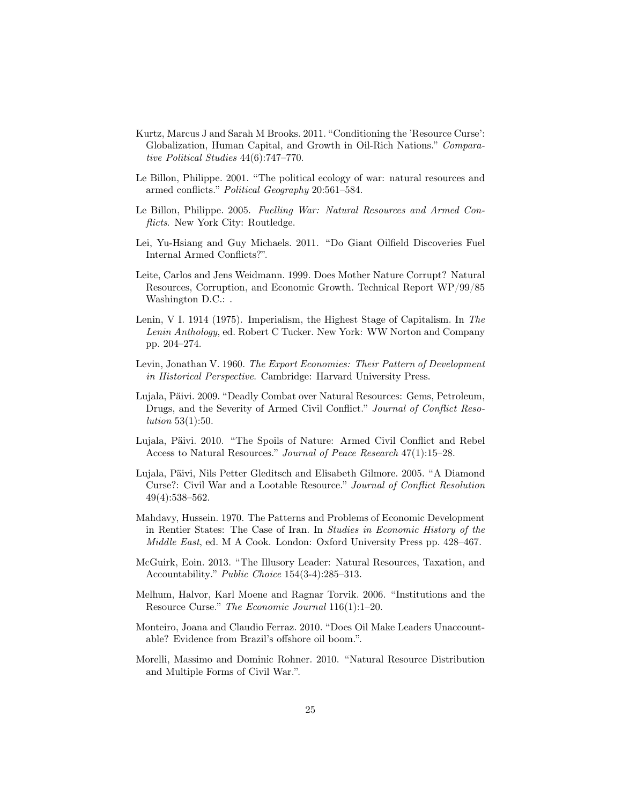- Kurtz, Marcus J and Sarah M Brooks. 2011. "Conditioning the 'Resource Curse': Globalization, Human Capital, and Growth in Oil-Rich Nations." *Comparative Political Studies* 44(6):747–770.
- Le Billon, Philippe. 2001. "The political ecology of war: natural resources and armed conflicts." *Political Geography* 20:561–584.
- Le Billon, Philippe. 2005. *Fuelling War: Natural Resources and Armed Conflicts*. New York City: Routledge.
- Lei, Yu-Hsiang and Guy Michaels. 2011. "Do Giant Oilfield Discoveries Fuel Internal Armed Conflicts?".
- Leite, Carlos and Jens Weidmann. 1999. Does Mother Nature Corrupt? Natural Resources, Corruption, and Economic Growth. Technical Report WP/99/85 Washington D.C.: .
- Lenin, V I. 1914 (1975). Imperialism, the Highest Stage of Capitalism. In *The Lenin Anthology*, ed. Robert C Tucker. New York: WW Norton and Company pp. 204–274.
- Levin, Jonathan V. 1960. *The Export Economies: Their Pattern of Development in Historical Perspective*. Cambridge: Harvard University Press.
- Lujala, Päivi. 2009. "Deadly Combat over Natural Resources: Gems, Petroleum, Drugs, and the Severity of Armed Civil Conflict." *Journal of Conflict Resolution* 53(1):50.
- Lujala, Päivi. 2010. "The Spoils of Nature: Armed Civil Conflict and Rebel Access to Natural Resources." *Journal of Peace Research* 47(1):15–28.
- Lujala, Päivi, Nils Petter Gleditsch and Elisabeth Gilmore. 2005. "A Diamond Curse?: Civil War and a Lootable Resource." *Journal of Conflict Resolution* 49(4):538–562.
- Mahdavy, Hussein. 1970. The Patterns and Problems of Economic Development in Rentier States: The Case of Iran. In *Studies in Economic History of the Middle East*, ed. M A Cook. London: Oxford University Press pp. 428–467.
- McGuirk, Eoin. 2013. "The Illusory Leader: Natural Resources, Taxation, and Accountability." *Public Choice* 154(3-4):285–313.
- Melhum, Halvor, Karl Moene and Ragnar Torvik. 2006. "Institutions and the Resource Curse." *The Economic Journal* 116(1):1–20.
- Monteiro, Joana and Claudio Ferraz. 2010. "Does Oil Make Leaders Unaccountable? Evidence from Brazil's offshore oil boom.".
- Morelli, Massimo and Dominic Rohner. 2010. "Natural Resource Distribution and Multiple Forms of Civil War.".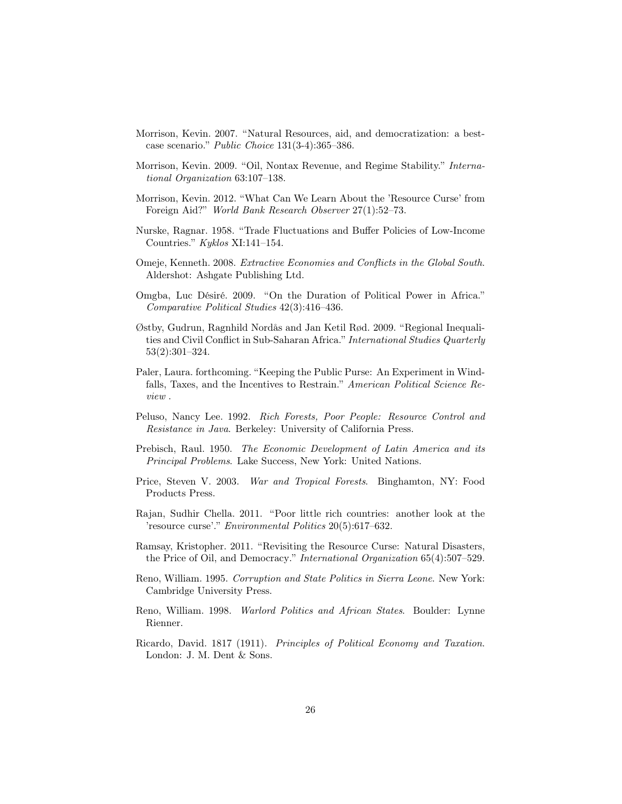- Morrison, Kevin. 2007. "Natural Resources, aid, and democratization: a bestcase scenario." *Public Choice* 131(3-4):365–386.
- Morrison, Kevin. 2009. "Oil, Nontax Revenue, and Regime Stability." *International Organization* 63:107–138.
- Morrison, Kevin. 2012. "What Can We Learn About the 'Resource Curse' from Foreign Aid?" *World Bank Research Observer* 27(1):52–73.
- Nurske, Ragnar. 1958. "Trade Fluctuations and Buffer Policies of Low-Income Countries." *Kyklos* XI:141–154.
- Omeje, Kenneth. 2008. *Extractive Economies and Conflicts in the Global South*. Aldershot: Ashgate Publishing Ltd.
- Omgba, Luc Désiré. 2009. "On the Duration of Political Power in Africa." *Comparative Political Studies* 42(3):416–436.
- Østby, Gudrun, Ragnhild Nordås and Jan Ketil Rød. 2009. "Regional Inequalities and Civil Conflict in Sub-Saharan Africa." *International Studies Quarterly* 53(2):301–324.
- Paler, Laura. forthcoming. "Keeping the Public Purse: An Experiment in Windfalls, Taxes, and the Incentives to Restrain." *American Political Science Review* .
- Peluso, Nancy Lee. 1992. *Rich Forests, Poor People: Resource Control and Resistance in Java*. Berkeley: University of California Press.
- Prebisch, Raul. 1950. *The Economic Development of Latin America and its Principal Problems*. Lake Success, New York: United Nations.
- Price, Steven V. 2003. *War and Tropical Forests*. Binghamton, NY: Food Products Press.
- Rajan, Sudhir Chella. 2011. "Poor little rich countries: another look at the 'resource curse'." *Environmental Politics* 20(5):617–632.
- Ramsay, Kristopher. 2011. "Revisiting the Resource Curse: Natural Disasters, the Price of Oil, and Democracy." *International Organization* 65(4):507–529.
- Reno, William. 1995. *Corruption and State Politics in Sierra Leone*. New York: Cambridge University Press.
- Reno, William. 1998. *Warlord Politics and African States*. Boulder: Lynne Rienner.
- Ricardo, David. 1817 (1911). *Principles of Political Economy and Taxation*. London: J. M. Dent & Sons.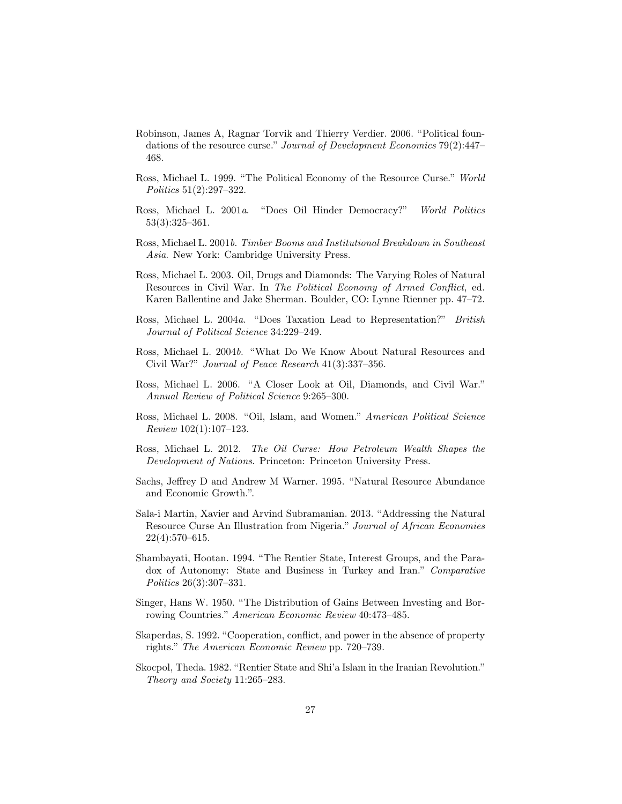- Robinson, James A, Ragnar Torvik and Thierry Verdier. 2006. "Political foundations of the resource curse." *Journal of Development Economics* 79(2):447– 468.
- Ross, Michael L. 1999. "The Political Economy of the Resource Curse." *World Politics* 51(2):297–322.
- Ross, Michael L. 2001*a*. "Does Oil Hinder Democracy?" *World Politics* 53(3):325–361.
- Ross, Michael L. 2001*b*. *Timber Booms and Institutional Breakdown in Southeast Asia*. New York: Cambridge University Press.
- Ross, Michael L. 2003. Oil, Drugs and Diamonds: The Varying Roles of Natural Resources in Civil War. In *The Political Economy of Armed Conflict*, ed. Karen Ballentine and Jake Sherman. Boulder, CO: Lynne Rienner pp. 47–72.
- Ross, Michael L. 2004*a*. "Does Taxation Lead to Representation?" *British Journal of Political Science* 34:229–249.
- Ross, Michael L. 2004*b*. "What Do We Know About Natural Resources and Civil War?" *Journal of Peace Research* 41(3):337–356.
- Ross, Michael L. 2006. "A Closer Look at Oil, Diamonds, and Civil War." *Annual Review of Political Science* 9:265–300.
- Ross, Michael L. 2008. "Oil, Islam, and Women." *American Political Science Review* 102(1):107–123.
- Ross, Michael L. 2012. *The Oil Curse: How Petroleum Wealth Shapes the Development of Nations*. Princeton: Princeton University Press.
- Sachs, Jeffrey D and Andrew M Warner. 1995. "Natural Resource Abundance and Economic Growth.".
- Sala-i Martin, Xavier and Arvind Subramanian. 2013. "Addressing the Natural Resource Curse An Illustration from Nigeria." *Journal of African Economies*  $22(4):570-615.$
- Shambayati, Hootan. 1994. "The Rentier State, Interest Groups, and the Paradox of Autonomy: State and Business in Turkey and Iran." *Comparative Politics* 26(3):307–331.
- Singer, Hans W. 1950. "The Distribution of Gains Between Investing and Borrowing Countries." *American Economic Review* 40:473–485.
- Skaperdas, S. 1992. "Cooperation, conflict, and power in the absence of property rights." *The American Economic Review* pp. 720–739.
- Skocpol, Theda. 1982. "Rentier State and Shi'a Islam in the Iranian Revolution." *Theory and Society* 11:265–283.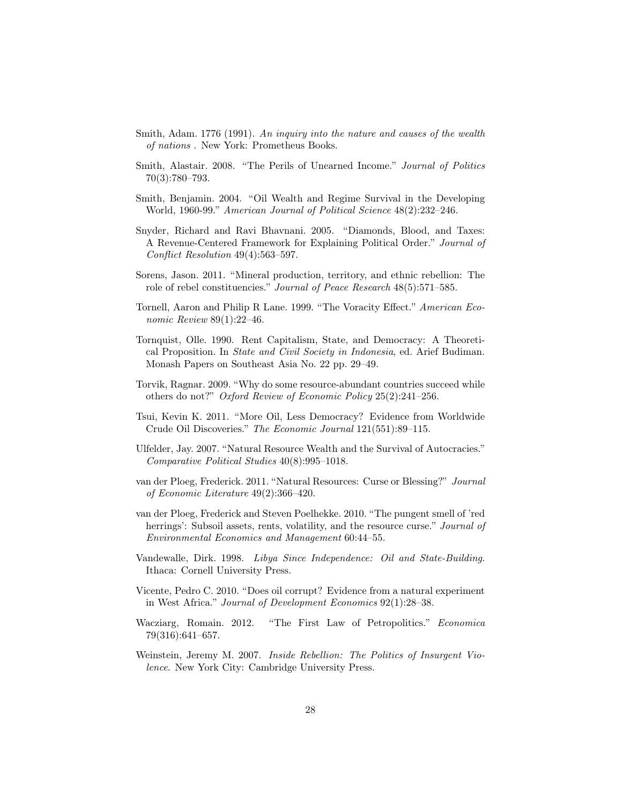- Smith, Adam. 1776 (1991). *An inquiry into the nature and causes of the wealth of nations* . New York: Prometheus Books.
- Smith, Alastair. 2008. "The Perils of Unearned Income." *Journal of Politics* 70(3):780–793.
- Smith, Benjamin. 2004. "Oil Wealth and Regime Survival in the Developing World, 1960-99." *American Journal of Political Science* 48(2):232–246.
- Snyder, Richard and Ravi Bhavnani. 2005. "Diamonds, Blood, and Taxes: A Revenue-Centered Framework for Explaining Political Order." *Journal of Conflict Resolution* 49(4):563–597.
- Sorens, Jason. 2011. "Mineral production, territory, and ethnic rebellion: The role of rebel constituencies." *Journal of Peace Research* 48(5):571–585.
- Tornell, Aaron and Philip R Lane. 1999. "The Voracity Effect." *American Economic Review* 89(1):22–46.
- Tornquist, Olle. 1990. Rent Capitalism, State, and Democracy: A Theoretical Proposition. In *State and Civil Society in Indonesia*, ed. Arief Budiman. Monash Papers on Southeast Asia No. 22 pp. 29–49.
- Torvik, Ragnar. 2009. "Why do some resource-abundant countries succeed while others do not?" *Oxford Review of Economic Policy* 25(2):241–256.
- Tsui, Kevin K. 2011. "More Oil, Less Democracy? Evidence from Worldwide Crude Oil Discoveries." *The Economic Journal* 121(551):89–115.
- Ulfelder, Jay. 2007. "Natural Resource Wealth and the Survival of Autocracies." *Comparative Political Studies* 40(8):995–1018.
- van der Ploeg, Frederick. 2011. "Natural Resources: Curse or Blessing?" *Journal of Economic Literature* 49(2):366–420.
- van der Ploeg, Frederick and Steven Poelhekke. 2010. "The pungent smell of 'red herrings': Subsoil assets, rents, volatility, and the resource curse." *Journal of Environmental Economics and Management* 60:44–55.
- Vandewalle, Dirk. 1998. *Libya Since Independence: Oil and State-Building*. Ithaca: Cornell University Press.
- Vicente, Pedro C. 2010. "Does oil corrupt? Evidence from a natural experiment in West Africa." *Journal of Development Economics* 92(1):28–38.
- Wacziarg, Romain. 2012. "The First Law of Petropolitics." *Economica* 79(316):641–657.
- Weinstein, Jeremy M. 2007. *Inside Rebellion: The Politics of Insurgent Violence*. New York City: Cambridge University Press.